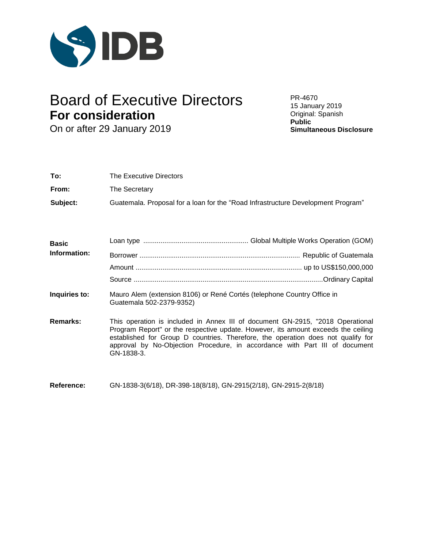

# Board of Executive Directors PR-4670 **For consideration**

On or after 29 January 2019

15 January 2019 Original: Spanish **Public Simultaneous Disclosure**

| To:      | The Executive Directors                                                          |
|----------|----------------------------------------------------------------------------------|
| From:    | The Secretary                                                                    |
| Subject: | Guatemala. Proposal for a loan for the "Road Infrastructure Development Program" |

| <b>Basic</b> |  |
|--------------|--|
| Information: |  |
|              |  |
|              |  |
|              |  |

- **Inquiries to:** Mauro Alem (extension 8106) or René Cortés (telephone Country Office in Guatemala 502-2379-9352)
- **Remarks:** This operation is included in Annex III of document GN-2915, "2018 Operational Program Report" or the respective update. However, its amount exceeds the ceiling established for Group D countries. Therefore, the operation does not qualify for approval by No-Objection Procedure, in accordance with Part III of document GN-1838-3.
- **Reference:** GN-1838-3(6/18), DR-398-18(8/18), GN-2915(2/18), GN-2915-2(8/18)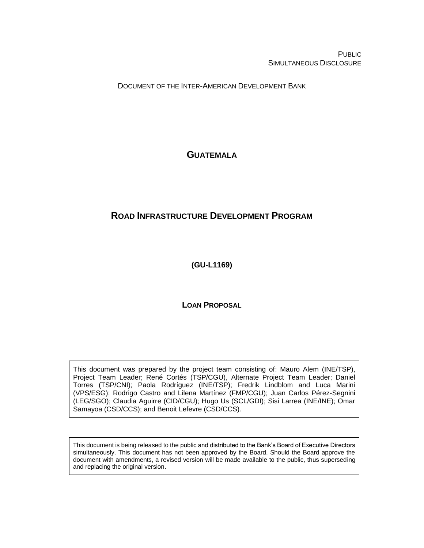PUBLIC SIMULTANEOUS DISCLOSURE

DOCUMENT OF THE INTER-AMERICAN DEVELOPMENT BANK

# **GUATEMALA**

# **ROAD INFRASTRUCTURE DEVELOPMENT PROGRAM**

**(GU-L1169)**

**LOAN PROPOSAL**

This document was prepared by the project team consisting of: Mauro Alem (INE/TSP), Project Team Leader; René Cortés (TSP/CGU), Alternate Project Team Leader; Daniel Torres (TSP/CNI); Paola Rodríguez (INE/TSP); Fredrik Lindblom and Luca Marini (VPS/ESG); Rodrigo Castro and Lilena Martínez (FMP/CGU); Juan Carlos Pérez-Segnini (LEG/SGO); Claudia Aguirre (CID/CGU); Hugo Us (SCL/GDI); Sisi Larrea (INE/INE); Omar Samayoa (CSD/CCS); and Benoit Lefevre (CSD/CCS).

This document is being released to the public and distributed to the Bank's Board of Executive Directors simultaneously. This document has not been approved by the Board. Should the Board approve the document with amendments, a revised version will be made available to the public, thus superseding and replacing the original version.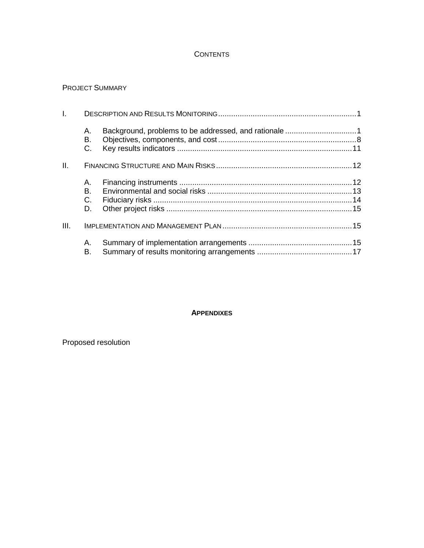# **CONTENTS**

### PROJECT SUMMARY

| $\mathbf{L}$ |                |  |
|--------------|----------------|--|
|              | А.<br>В.<br>C. |  |
| II.          |                |  |
|              | Α.             |  |
|              | В.             |  |
|              | C.             |  |
|              | D.             |  |
| III.         |                |  |
|              | А.<br>В.       |  |

#### **APPENDIXES**

Proposed resolution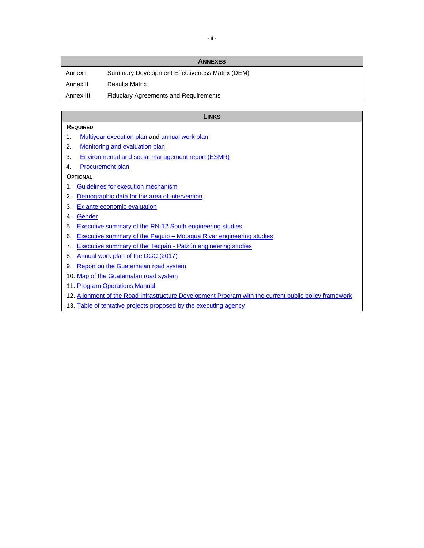|           | <b>ANNEXES</b>                                 |
|-----------|------------------------------------------------|
| Annex I   | Summary Development Effectiveness Matrix (DEM) |
| Annex II  | <b>Results Matrix</b>                          |
| Annex III | <b>Fiduciary Agreements and Requirements</b>   |

#### **LINKS**

#### **REQUIRED**

- 1. [Multiyear execution plan](http://idbdocs.iadb.org/wsdocs/getDocument.aspx?DOCNUM=EZSHARE-1990667305-49) an[d annual work plan](http://idbdocs.iadb.org/wsdocs/getDocument.aspx?DOCNUM=EZSHARE-1990667305-25)
- 2. [Monitoring and evaluation plan](http://idbdocs.iadb.org/wsdocs/getDocument.aspx?DOCNUM=EZSHARE-1990667305-16)
- 3. [Environmental and social management report \(ESMR\)](http://idbdocs.iadb.org/wsdocs/getDocument.aspx?DOCNUM=EZSHARE-1990667305-17)
- 4. [Procurement plan](http://idbdocs.iadb.org/wsdocs/getDocument.aspx?DOCNUM=EZSHARE-1990667305-18)

#### **OPTIONAL**

- 1. [Guidelines for execution mechanism](http://idbdocs.iadb.org/wsdocs/getDocument.aspx?DOCNUM=EZSHARE-1990667305-19)
- 2. [Demographic data for](http://idbdocs.iadb.org/wsdocs/getDocument.aspx?DOCNUM=EZSHARE-1990667305-68) the area of intervention
- 3. [Ex ante economic evaluation](http://idbdocs.iadb.org/wsdocs/getDocument.aspx?DOCNUM=EZSHARE-1990667305-21)
- 4. [Gender](http://idbdocs.iadb.org/wsdocs/getDocument.aspx?DOCNUM=EZSHARE-1990667305-28)
- 5. [Executive summary of the RN-12 South engineering studies](http://idbdocs.iadb.org/wsdocs/getDocument.aspx?DOCNUM=EZSHARE-1990667305-29)
- 6. [Executive summary of the Paquip –](http://idbdocs.iadb.org/wsdocs/getDocument.aspx?DOCNUM=EZSHARE-1990667305-30) Motagua River engineering studies
- 7. [Executive summary of the Tecpán -](http://idbdocs.iadb.org/wsdocs/getDocument.aspx?DOCNUM=EZSHARE-1990667305-31) Patzún engineering studies
- 8. [Annual work plan](http://idbdocs.iadb.org/wsdocs/getDocument.aspx?DOCNUM=EZSHARE-1990667305-34) of the DGC (2017)
- 9. [Report on the Guatemalan road system](http://idbdocs.iadb.org/wsdocs/getDocument.aspx?DOCNUM=EZSHARE-1990667305-36)
- 10. [Map of the Guatemalan road system](http://idbdocs.iadb.org/wsdocs/getDocument.aspx?DOCNUM=EZSHARE-1990667305-35)
- 11. [Program Operations Manual](http://idbdocs.iadb.org/wsdocs/getDocument.aspx?DOCNUM=EZSHARE-1990667305-64)
- 12. [Alignment of the Road Infrastructure Development Program with the current public policy framework](http://idbdocs.iadb.org/wsdocs/getDocument.aspx?DOCNUM=EZSHARE-1990667305-69)
- 13. [Table of tentative projects proposed by the executing agency](http://idbdocs.iadb.org/wsdocs/getDocument.aspx?DOCNUM=EZSHARE-1990667305-66)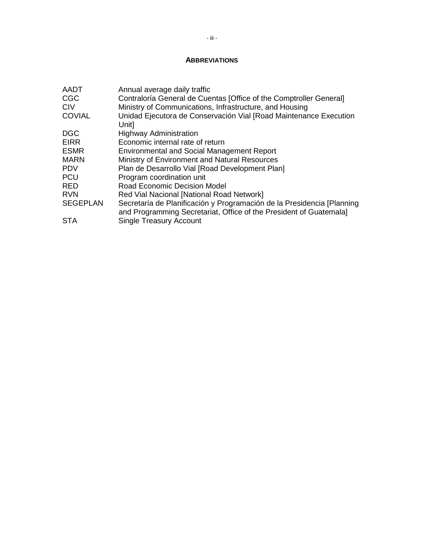#### **ABBREVIATIONS**

| <b>AADT</b><br><b>CGC</b><br><b>CIV</b> | Annual average daily traffic<br>Contraloría General de Cuentas [Office of the Comptroller General]<br>Ministry of Communications, Infrastructure, and Housing |
|-----------------------------------------|---------------------------------------------------------------------------------------------------------------------------------------------------------------|
| <b>COVIAL</b>                           | Unidad Ejecutora de Conservación Vial [Road Maintenance Execution<br>Unit]                                                                                    |
| <b>DGC</b>                              | <b>Highway Administration</b>                                                                                                                                 |
| <b>EIRR</b>                             | Economic internal rate of return                                                                                                                              |
| <b>ESMR</b>                             | <b>Environmental and Social Management Report</b>                                                                                                             |
| <b>MARN</b>                             | Ministry of Environment and Natural Resources                                                                                                                 |
| <b>PDV</b>                              | Plan de Desarrollo Vial [Road Development Plan]                                                                                                               |
| <b>PCU</b>                              | Program coordination unit                                                                                                                                     |
| <b>RED</b>                              | <b>Road Economic Decision Model</b>                                                                                                                           |
| <b>RVN</b>                              | Red Vial Nacional [National Road Network]                                                                                                                     |
| <b>SEGEPLAN</b>                         | Secretaría de Planificación y Programación de la Presidencia [Planning<br>and Programming Secretariat, Office of the President of Guatemala]                  |
| <b>STA</b>                              | <b>Single Treasury Account</b>                                                                                                                                |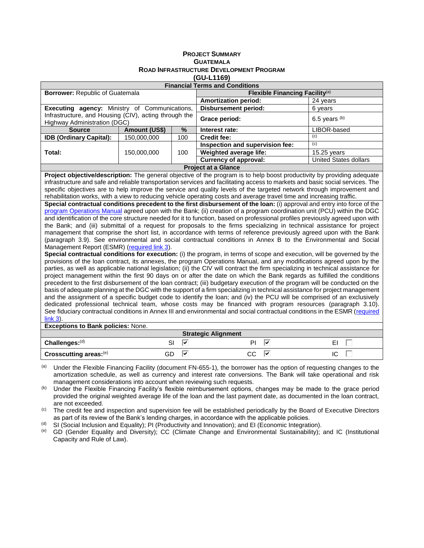| <b>PROJECT SUMMARY</b>                         |
|------------------------------------------------|
| <b>GUATEMALA</b>                               |
| <b>ROAD INFRASTRUCTURE DEVELOPMENT PROGRAM</b> |
| (GU-L1169)                                     |

| <b>Financial Terms and Conditions</b>                                                                                                                                                                                                                                                                                                                                                                                                                                                                                                                                                                                                                                                                                                                                                                                                                                                                                                                                                                                                                                                                                                                                                                                                                                                                                                                                                                                                                                                                                                                                                                                                                                                                                                                                                                                                                                                                                                                                                                                                                                                                                                                                                                                                                                                                                                                                  |               |         |                                                                                                                         |                              |  |
|------------------------------------------------------------------------------------------------------------------------------------------------------------------------------------------------------------------------------------------------------------------------------------------------------------------------------------------------------------------------------------------------------------------------------------------------------------------------------------------------------------------------------------------------------------------------------------------------------------------------------------------------------------------------------------------------------------------------------------------------------------------------------------------------------------------------------------------------------------------------------------------------------------------------------------------------------------------------------------------------------------------------------------------------------------------------------------------------------------------------------------------------------------------------------------------------------------------------------------------------------------------------------------------------------------------------------------------------------------------------------------------------------------------------------------------------------------------------------------------------------------------------------------------------------------------------------------------------------------------------------------------------------------------------------------------------------------------------------------------------------------------------------------------------------------------------------------------------------------------------------------------------------------------------------------------------------------------------------------------------------------------------------------------------------------------------------------------------------------------------------------------------------------------------------------------------------------------------------------------------------------------------------------------------------------------------------------------------------------------------|---------------|---------|-------------------------------------------------------------------------------------------------------------------------|------------------------------|--|
| <b>Borrower: Republic of Guatemala</b><br>Flexible Financing Facility <sup>(a)</sup>                                                                                                                                                                                                                                                                                                                                                                                                                                                                                                                                                                                                                                                                                                                                                                                                                                                                                                                                                                                                                                                                                                                                                                                                                                                                                                                                                                                                                                                                                                                                                                                                                                                                                                                                                                                                                                                                                                                                                                                                                                                                                                                                                                                                                                                                                   |               |         |                                                                                                                         |                              |  |
|                                                                                                                                                                                                                                                                                                                                                                                                                                                                                                                                                                                                                                                                                                                                                                                                                                                                                                                                                                                                                                                                                                                                                                                                                                                                                                                                                                                                                                                                                                                                                                                                                                                                                                                                                                                                                                                                                                                                                                                                                                                                                                                                                                                                                                                                                                                                                                        |               |         | <b>Amortization period:</b>                                                                                             | 24 years                     |  |
| Executing agency: Ministry of Communications,                                                                                                                                                                                                                                                                                                                                                                                                                                                                                                                                                                                                                                                                                                                                                                                                                                                                                                                                                                                                                                                                                                                                                                                                                                                                                                                                                                                                                                                                                                                                                                                                                                                                                                                                                                                                                                                                                                                                                                                                                                                                                                                                                                                                                                                                                                                          |               |         | <b>Disbursement period:</b>                                                                                             | 6 years                      |  |
| Infrastructure, and Housing (CIV), acting through the<br>Highway Administration (DGC)                                                                                                                                                                                                                                                                                                                                                                                                                                                                                                                                                                                                                                                                                                                                                                                                                                                                                                                                                                                                                                                                                                                                                                                                                                                                                                                                                                                                                                                                                                                                                                                                                                                                                                                                                                                                                                                                                                                                                                                                                                                                                                                                                                                                                                                                                  |               |         | Grace period:                                                                                                           | 6.5 years $(b)$              |  |
| <b>Source</b>                                                                                                                                                                                                                                                                                                                                                                                                                                                                                                                                                                                                                                                                                                                                                                                                                                                                                                                                                                                                                                                                                                                                                                                                                                                                                                                                                                                                                                                                                                                                                                                                                                                                                                                                                                                                                                                                                                                                                                                                                                                                                                                                                                                                                                                                                                                                                          | Amount (US\$) | %       | Interest rate:                                                                                                          | LIBOR-based                  |  |
| <b>IDB (Ordinary Capital):</b>                                                                                                                                                                                                                                                                                                                                                                                                                                                                                                                                                                                                                                                                                                                                                                                                                                                                                                                                                                                                                                                                                                                                                                                                                                                                                                                                                                                                                                                                                                                                                                                                                                                                                                                                                                                                                                                                                                                                                                                                                                                                                                                                                                                                                                                                                                                                         | 150,000,000   | 100     | <b>Credit fee:</b>                                                                                                      | (c)                          |  |
|                                                                                                                                                                                                                                                                                                                                                                                                                                                                                                                                                                                                                                                                                                                                                                                                                                                                                                                                                                                                                                                                                                                                                                                                                                                                                                                                                                                                                                                                                                                                                                                                                                                                                                                                                                                                                                                                                                                                                                                                                                                                                                                                                                                                                                                                                                                                                                        |               |         | Inspection and supervision fee:                                                                                         | (c)                          |  |
| Total:                                                                                                                                                                                                                                                                                                                                                                                                                                                                                                                                                                                                                                                                                                                                                                                                                                                                                                                                                                                                                                                                                                                                                                                                                                                                                                                                                                                                                                                                                                                                                                                                                                                                                                                                                                                                                                                                                                                                                                                                                                                                                                                                                                                                                                                                                                                                                                 | 150,000,000   | 100     | Weighted average life:                                                                                                  | 15.25 years                  |  |
|                                                                                                                                                                                                                                                                                                                                                                                                                                                                                                                                                                                                                                                                                                                                                                                                                                                                                                                                                                                                                                                                                                                                                                                                                                                                                                                                                                                                                                                                                                                                                                                                                                                                                                                                                                                                                                                                                                                                                                                                                                                                                                                                                                                                                                                                                                                                                                        |               |         | <b>Currency of approval:</b>                                                                                            | <b>United States dollars</b> |  |
|                                                                                                                                                                                                                                                                                                                                                                                                                                                                                                                                                                                                                                                                                                                                                                                                                                                                                                                                                                                                                                                                                                                                                                                                                                                                                                                                                                                                                                                                                                                                                                                                                                                                                                                                                                                                                                                                                                                                                                                                                                                                                                                                                                                                                                                                                                                                                                        |               |         | <b>Project at a Glance</b>                                                                                              |                              |  |
|                                                                                                                                                                                                                                                                                                                                                                                                                                                                                                                                                                                                                                                                                                                                                                                                                                                                                                                                                                                                                                                                                                                                                                                                                                                                                                                                                                                                                                                                                                                                                                                                                                                                                                                                                                                                                                                                                                                                                                                                                                                                                                                                                                                                                                                                                                                                                                        |               |         | Project objective/description: The general objective of the program is to help boost productivity by providing adequate |                              |  |
|                                                                                                                                                                                                                                                                                                                                                                                                                                                                                                                                                                                                                                                                                                                                                                                                                                                                                                                                                                                                                                                                                                                                                                                                                                                                                                                                                                                                                                                                                                                                                                                                                                                                                                                                                                                                                                                                                                                                                                                                                                                                                                                                                                                                                                                                                                                                                                        |               |         |                                                                                                                         |                              |  |
|                                                                                                                                                                                                                                                                                                                                                                                                                                                                                                                                                                                                                                                                                                                                                                                                                                                                                                                                                                                                                                                                                                                                                                                                                                                                                                                                                                                                                                                                                                                                                                                                                                                                                                                                                                                                                                                                                                                                                                                                                                                                                                                                                                                                                                                                                                                                                                        |               |         |                                                                                                                         |                              |  |
| infrastructure and safe and reliable transportation services and facilitating access to markets and basic social services. The<br>specific objectives are to help improve the service and quality levels of the targeted network through improvement and<br>rehabilitation works, with a view to reducing vehicle operating costs and average travel time and increasing traffic.<br>Special contractual conditions precedent to the first disbursement of the loan: (i) approval and entry into force of the<br>program Operations Manual agreed upon with the Bank; (ii) creation of a program coordination unit (PCU) within the DGC<br>and identification of the core structure needed for it to function, based on professional profiles previously agreed upon with<br>the Bank; and (iii) submittal of a request for proposals to the firms specializing in technical assistance for project<br>management that comprise the short list, in accordance with terms of reference previously agreed upon with the Bank<br>(paragraph 3.9). See environmental and social contractual conditions in Annex B to the Environmental and Social<br>Management Report (ESMR) (required link 3).<br>Special contractual conditions for execution: (i) the program, in terms of scope and execution, will be governed by the<br>provisions of the loan contract, its annexes, the program Operations Manual, and any modifications agreed upon by the<br>parties, as well as applicable national legislation; (ii) the CIV will contract the firm specializing in technical assistance for<br>project management within the first 90 days on or after the date on which the Bank regards as fulfilled the conditions<br>precedent to the first disbursement of the loan contract; (iii) budgetary execution of the program will be conducted on the<br>basis of adequate planning at the DGC with the support of a firm specializing in technical assistance for project management<br>and the assignment of a specific budget code to identify the loan; and (iv) the PCU will be comprised of an exclusively<br>dedicated professional technical team, whose costs may be financed with program resources (paragraph 3.10).<br>See fiduciary contractual conditions in Annex III and environmental and social contractual conditions in the ESMR (required<br>$link 3)$ . |               |         |                                                                                                                         |                              |  |
| <b>Exceptions to Bank policies: None.</b><br><b>Strategic Alignment</b>                                                                                                                                                                                                                                                                                                                                                                                                                                                                                                                                                                                                                                                                                                                                                                                                                                                                                                                                                                                                                                                                                                                                                                                                                                                                                                                                                                                                                                                                                                                                                                                                                                                                                                                                                                                                                                                                                                                                                                                                                                                                                                                                                                                                                                                                                                |               |         |                                                                                                                         |                              |  |
| Challenges:(d)                                                                                                                                                                                                                                                                                                                                                                                                                                                                                                                                                                                                                                                                                                                                                                                                                                                                                                                                                                                                                                                                                                                                                                                                                                                                                                                                                                                                                                                                                                                                                                                                                                                                                                                                                                                                                                                                                                                                                                                                                                                                                                                                                                                                                                                                                                                                                         |               | ⊽<br>SI | ⊽<br>PI                                                                                                                 | EI                           |  |

Crosscutting areas:<sup>(e)</sup> GD **V** CC **V** CC **O** (a) Under the Flexible Financing Facility (document FN-655-1), the borrower has the option of requesting changes to the amortization schedule, as well as currency and interest rate conversions. The Bank will take operational and risk management considerations into account when reviewing such requests.

(b) Under the Flexible Financing Facility's flexible reimbursement options, changes may be made to the grace period provided the original weighted average life of the loan and the last payment date, as documented in the loan contract, are not exceeded.

(c) The credit fee and inspection and supervision fee will be established periodically by the Board of Executive Directors as part of its review of the Bank's lending charges, in accordance with the applicable policies.

(d) SI (Social Inclusion and Equality); PI (Productivity and Innovation); and EI (Economic Integration).<br>(e) GD (Gender Fouality and Diversity): CC (Climate Change and Fnyironmental Sustainability):

GD (Gender Equality and Diversity); CC (Climate Change and Environmental Sustainability); and IC (Institutional Capacity and Rule of Law).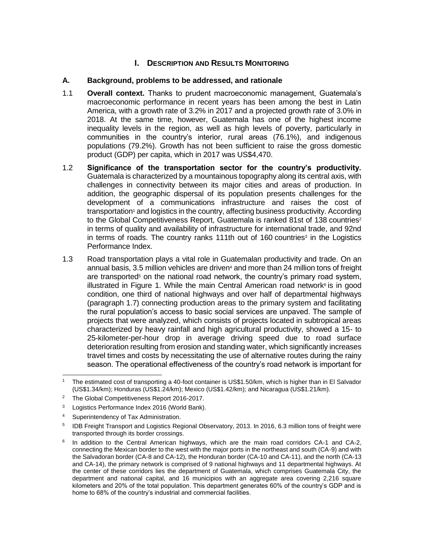# **I.** DESCRIPTION AND RESULTS MONITORING

### **A. Background, problems to be addressed, and rationale**

- 1.1 **Overall context.** Thanks to prudent macroeconomic management, Guatemala's macroeconomic performance in recent years has been among the best in Latin America, with a growth rate of 3.2% in 2017 and a projected growth rate of 3.0% in 2018. At the same time, however, Guatemala has one of the highest income inequality levels in the region, as well as high levels of poverty, particularly in communities in the country's interior, rural areas (76.1%), and indigenous populations (79.2%). Growth has not been sufficient to raise the gross domestic product (GDP) per capita, which in 2017 was US\$4,470.
- 1.2 **Significance of the transportation sector for the country's productivity.** Guatemala is characterized by a mountainous topography along its central axis, with challenges in connectivity between its major cities and areas of production. In addition, the geographic dispersal of its population presents challenges for the development of a communications infrastructure and raises the cost of transportation<sup>1</sup> and logistics in the country, affecting business productivity. According to the Global Competitiveness Report, Guatemala is ranked 81st of 138 countries<sup>2</sup> in terms of quality and availability of infrastructure for international trade, and 92nd in terms of roads. The country ranks 111th out of 160 countries<sup>3</sup> in the Logistics Performance Index.
- 1.3 Road transportation plays a vital role in Guatemalan productivity and trade. On an annual basis, 3.5 million vehicles are driven<sup>4</sup> and more than 24 million tons of freight are transported $5$  on the national road network, the country's primary road system, illustrated in Figure 1. While the main Central American road network<sup>6</sup> is in good condition, one third of national highways and over half of departmental highways (paragraph 1.7) connecting production areas to the primary system and facilitating the rural population's access to basic social services are unpaved. The sample of projects that were analyzed, which consists of projects located in subtropical areas characterized by heavy rainfall and high agricultural productivity, showed a 15- to 25-kilometer-per-hour drop in average driving speed due to road surface deterioration resulting from erosion and standing water, which significantly increases travel times and costs by necessitating the use of alternative routes during the rainy season. The operational effectiveness of the country's road network is important for

 <sup>1</sup> The estimated cost of transporting a 40-foot container is US\$1.50/km, which is higher than in El Salvador (US\$1.34/km); Honduras (US\$1.24/km); Mexico (US\$1.42/km); and Nicaragua (US\$1.21/km).

<sup>&</sup>lt;sup>2</sup> The Global Competitiveness Report 2016-2017.

<sup>&</sup>lt;sup>3</sup> Logistics Performance Index 2016 (World Bank).

<sup>4</sup> Superintendency of Tax Administration.

<sup>5</sup> IDB Freight Transport and Logistics Regional Observatory, 2013. In 2016, 6.3 million tons of freight were transported through its border crossings.

<sup>6</sup> In addition to the Central American highways, which are the main road corridors CA-1 and CA-2, connecting the Mexican border to the west with the major ports in the northeast and south (CA-9) and with the Salvadoran border (CA-8 and CA-12), the Honduran border (CA-10 and CA-11), and the north (CA-13 and CA-14), the primary network is comprised of 9 national highways and 11 departmental highways. At the center of these corridors lies the department of Guatemala, which comprises Guatemala City, the department and national capital, and 16 municipios with an aggregate area covering 2,216 square kilometers and 20% of the total population. This department generates 60% of the country's GDP and is home to 68% of the country's industrial and commercial facilities.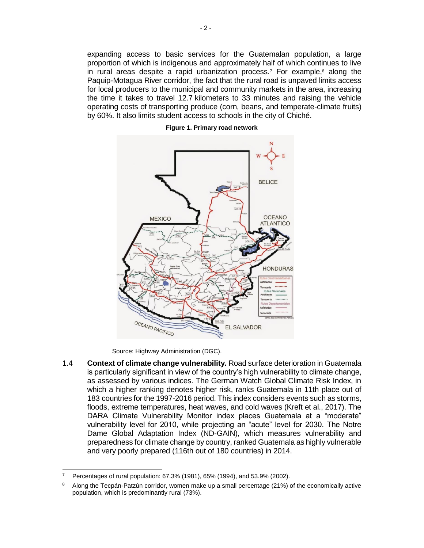expanding access to basic services for the Guatemalan population, a large proportion of which is indigenous and approximately half of which continues to live in rural areas despite a rapid urbanization process.<sup>7</sup> For example, $8$  along the Paquip-Motagua River corridor, the fact that the rural road is unpaved limits access for local producers to the municipal and community markets in the area, increasing the time it takes to travel 12.7 kilometers to 33 minutes and raising the vehicle operating costs of transporting produce (corn, beans, and temperate-climate fruits) by 60%. It also limits student access to schools in the city of Chiché.



**Figure 1. Primary road network** 

Source: Highway Administration (DGC).

1.4 **Context of climate change vulnerability.** Road surface deterioration in Guatemala is particularly significant in view of the country's high vulnerability to climate change, as assessed by various indices. The German Watch Global Climate Risk Index, in which a higher ranking denotes higher risk, ranks Guatemala in 11th place out of 183 countries for the 1997-2016 period. This index considers events such as storms, floods, extreme temperatures, heat waves, and cold waves (Kreft et al., 2017). The DARA Climate Vulnerability Monitor index places Guatemala at a "moderate" vulnerability level for 2010, while projecting an "acute" level for 2030. The Notre Dame Global Adaptation Index (ND-GAIN), which measures vulnerability and preparedness for climate change by country, ranked Guatemala as highly vulnerable and very poorly prepared (116th out of 180 countries) in 2014.

<sup>7</sup> Percentages of rural population: 67.3% (1981), 65% (1994), and 53.9% (2002).

<sup>8</sup> Along the Tecpán-Patzún corridor, women make up a small percentage (21%) of the economically active population, which is predominantly rural (73%).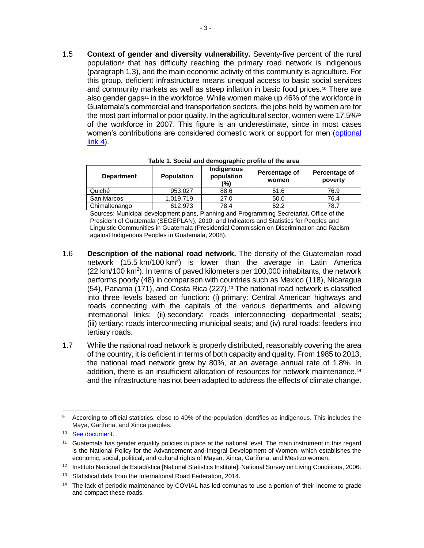1.5 **Context of gender and diversity vulnerability.** Seventy-five percent of the rural population<sup>9</sup> that has difficulty reaching the primary road network is indigenous (paragraph 1.3), and the main economic activity of this community is agriculture. For this group, deficient infrastructure means unequal access to basic social services and community markets as well as steep inflation in basic food prices.<sup>10</sup> There are also gender gaps<sup>11</sup> in the workforce. While women make up 46% of the workforce in Guatemala's commercial and transportation sectors, the jobs held by women are for the most part informal or poor quality. In the agricultural sector, women were  $17.5\%$ <sup>12</sup> of the workforce in 2007. This figure is an underestimate, since in most cases women's contributions are considered domestic work or support for men [\(optional](http://idbdocs.iadb.org/wsdocs/getDocument.aspx?DOCNUM=EZSHARE-1990667305-28)   $link(4)$ .

| <b>Department</b> | <b>Population</b> | Indigenous<br>population<br>(%) | Percentage of<br>women | Percentage of<br>poverty |
|-------------------|-------------------|---------------------------------|------------------------|--------------------------|
| Quiché            | 953.027           | 88.6                            | 51.6                   | 76.9                     |
| San Marcos        | 1.019.719         | 27.0                            | 50.0                   | 76.4                     |
| Chimaltenango     | 612.973           | 78.4                            | 52.2                   | 78.7                     |

**Table 1. Social and demographic profile of the area**

Sources: Municipal development plans, Planning and Programming Secretariat, Office of the President of Guatemala (SEGEPLAN), 2010, and Indicators and Statistics for Peoples and Linguistic Communities in Guatemala (Presidential Commission on Discrimination and Racism against Indigenous Peoples in Guatemala, 2008).

- 1.6 **Description of the national road network.** The density of the Guatemalan road network  $(15.5 \text{ km}/100 \text{ km}^2)$  is lower than the average in Latin America  $(22 \text{ km}/100 \text{ km}^2)$ . In terms of paved kilometers per 100,000 inhabitants, the network performs poorly (48) in comparison with countries such as Mexico (118), Nicaragua (54), Panama (171), and Costa Rica (227).<sup>13</sup> The national road network is classified into three levels based on function: (i) primary: Central American highways and roads connecting with the capitals of the various departments and allowing international links; (ii) secondary: roads interconnecting departmental seats; (iii) tertiary: roads interconnecting municipal seats; and (iv) rural roads: feeders into tertiary roads.
- 1.7 While the national road network is properly distributed, reasonably covering the area of the country, it is deficient in terms of both capacity and quality. From 1985 to 2013, the national road network grew by 80%, at an average annual rate of 1.8%. In addition, there is an insufficient allocation of resources for network maintenance,<sup>14</sup> and the infrastructure has not been adapted to address the effects of climate change.

 9 According to official statistics, close to 40% of the population identifies as indigenous. This includes the Maya, Garífuna, and Xinca peoples.

<sup>10</sup> [See document.](http://www.imf.org/external/np/blog/dialogo/022817.pdf)

<sup>&</sup>lt;sup>11</sup> Guatemala has gender equality policies in place at the national level. The main instrument in this regard is the National Policy for the Advancement and Integral Development of Women, which establishes the economic, social, political, and cultural rights of Mayan, Xinca, Garífuna, and Mestizo women.

<sup>12</sup> Instituto Nacional de Estadística [National Statistics Institute]; National Survey on Living Conditions, 2006.

<sup>&</sup>lt;sup>13</sup> Statistical data from the International Road Federation, 2014.

<sup>&</sup>lt;sup>14</sup> The lack of periodic maintenance by COVIAL has led comunas to use a portion of their income to grade and compact these roads.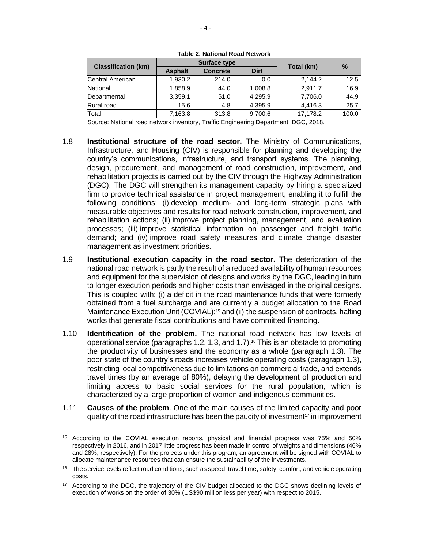|                            |                | <b>Surface type</b> |             | $\frac{0}{0}$ |       |  |
|----------------------------|----------------|---------------------|-------------|---------------|-------|--|
| <b>Classification (km)</b> | <b>Asphalt</b> | <b>Concrete</b>     | <b>Dirt</b> | Total (km)    |       |  |
| Central American           | 1,930.2        | 214.0               | 0.0         | 2.144.2       | 12.5  |  |
| National                   | 1,858.9        | 44.0                | 1,008.8     | 2.911.7       | 16.9  |  |
| Departmental               | 3,359.1        | 51.0                | 4.295.9     | 7,706.0       | 44.9  |  |
| Rural road                 | 15.6           | 4.8                 | 4,395.9     | 4,416.3       | 25.7  |  |
| Total                      | 7,163.8        | 313.8               | 9,700.6     | 17,178.2      | 100.0 |  |

**Table 2. National Road Network**

Source: National road network inventory, Traffic Engineering Department, DGC, 2018.

- 1.8 **Institutional structure of the road sector.** The Ministry of Communications, Infrastructure, and Housing (CIV) is responsible for planning and developing the country's communications, infrastructure, and transport systems. The planning, design, procurement, and management of road construction, improvement, and rehabilitation projects is carried out by the CIV through the Highway Administration (DGC). The DGC will strengthen its management capacity by hiring a specialized firm to provide technical assistance in project management, enabling it to fulfill the following conditions: (i) develop medium- and long-term strategic plans with measurable objectives and results for road network construction, improvement, and rehabilitation actions; (ii) improve project planning, management, and evaluation processes; (iii) improve statistical information on passenger and freight traffic demand; and (iv) improve road safety measures and climate change disaster management as investment priorities.
- <span id="page-10-0"></span>1.9 **Institutional execution capacity in the road sector.** The deterioration of the national road network is partly the result of a reduced availability of human resources and equipment for the supervision of designs and works by the DGC, leading in turn to longer execution periods and higher costs than envisaged in the original designs. This is coupled with: (i) a deficit in the road maintenance funds that were formerly obtained from a fuel surcharge and are currently a budget allocation to the Road Maintenance Execution Unit (COVIAL); <sup>15</sup> and (ii) the suspension of contracts, halting works that generate fiscal contributions and have committed financing.
- 1.10 **Identification of the problem.** The national road network has low levels of operational service (paragraphs 1.2, 1.3, and 1.7).<sup>16</sup> This is an obstacle to promoting the productivity of businesses and the economy as a whole (paragraph 1.3). The poor state of the country's roads increases vehicle operating costs (paragraph 1.3), restricting local competitiveness due to limitations on commercial trade, and extends travel times (by an average of 80%), delaying the development of production and limiting access to basic social services for the rural population, which is characterized by a large proportion of women and indigenous communities.
- 1.11 **Causes of the problem**. One of the main causes of the limited capacity and poor quality of the road infrastructure has been the paucity of investment<sup>17</sup> in improvement

 <sup>15</sup> According to the COVIAL execution reports, physical and financial progress was 75% and 50% respectively in 2016, and in 2017 little progress has been made in control of weights and dimensions (46% and 28%, respectively). For the projects under this program, an agreement will be signed with COVIAL to allocate maintenance resources that can ensure the sustainability of the investments.

<sup>&</sup>lt;sup>16</sup> The service levels reflect road conditions, such as speed, travel time, safety, comfort, and vehicle operating costs.

<sup>&</sup>lt;sup>17</sup> According to the DGC, the trajectory of the CIV budget allocated to the DGC shows declining levels of execution of works on the order of 30% (US\$90 million less per year) with respect to 2015.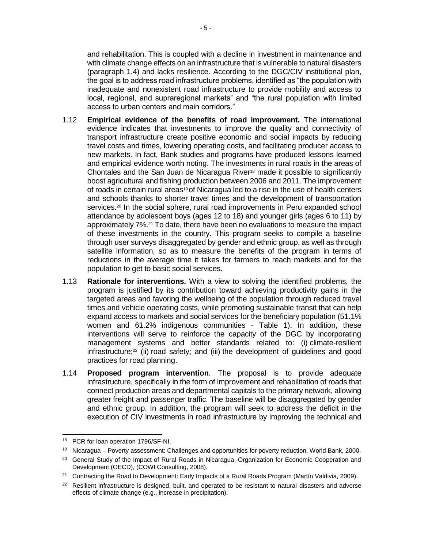and rehabilitation. This is coupled with a decline in investment in maintenance and with climate change effects on an infrastructure that is vulnerable to natural disasters (paragraph 1.4) and lacks resilience. According to the DGC/CIV institutional plan, the goal is to address road infrastructure problems, identified as "the population with inadequate and nonexistent road infrastructure to provide mobility and access to local, regional, and supraregional markets" and "the rural population with limited access to urban centers and main corridors."

- 1.12 **Empirical evidence of the benefits of road improvement.** The international evidence indicates that investments to improve the quality and connectivity of transport infrastructure create positive economic and social impacts by reducing travel costs and times, lowering operating costs, and facilitating producer access to new markets. In fact, Bank studies and programs have produced lessons learned and empirical evidence worth noting. The investments in rural roads in the areas of Chontales and the San Juan de Nicaragua River<sup>18</sup> made it possible to significantly boost agricultural and fishing production between 2006 and 2011. The improvement of roads in certain rural areas<sup>19</sup> of Nicaragua led to a rise in the use of health centers and schools thanks to shorter travel times and the development of transportation services.<sup>20</sup> In the social sphere, rural road improvements in Peru expanded school attendance by adolescent boys (ages 12 to 18) and younger girls (ages 6 to 11) by approximately 7%.<sup>21</sup> To date, there have been no evaluations to measure the impact of these investments in the country. This program seeks to compile a baseline through user surveys disaggregated by gender and ethnic group, as well as through satellite information, so as to measure the benefits of the program in terms of reductions in the average time it takes for farmers to reach markets and for the population to get to basic social services.
- 1.13 **Rationale for interventions.** With a view to solving the identified problems, the program is justified by its contribution toward achieving productivity gains in the targeted areas and favoring the wellbeing of the population through reduced travel times and vehicle operating costs, while promoting sustainable transit that can help expand access to markets and social services for the beneficiary population (51.1% women and 61.2% indigenous communities - Table 1). In addition, these interventions will serve to reinforce the capacity of the DGC by incorporating management systems and better standards related to: (i) climate-resilient infrastructure;<sup>22</sup> (ii) road safety; and (iii) the development of guidelines and good practices for road planning.
- 1.14 **Proposed program intervention**. The proposal is to provide adequate infrastructure, specifically in the form of improvement and rehabilitation of roads that connect production areas and departmental capitals to the primary network, allowing greater freight and passenger traffic. The baseline will be disaggregated by gender and ethnic group. In addition, the program will seek to address the deficit in the execution of CIV investments in road infrastructure by improving the technical and

 <sup>18</sup> PCR for loan operation 1796/SF-NI.

<sup>&</sup>lt;sup>19</sup> Nicaragua – Poverty assessment: Challenges and opportunities for poverty reduction, World Bank, 2000.

<sup>&</sup>lt;sup>20</sup> General Study of the Impact of Rural Roads in Nicaragua, Organization for Economic Cooperation and Development (OECD), (COWI Consulting, 2008).

<sup>&</sup>lt;sup>21</sup> Contracting the Road to Development: Early Impacts of a Rural Roads Program (Martín Valdivia, 2009).

 $22$  Resilient infrastructure is designed, built, and operated to be resistant to natural disasters and adverse effects of climate change (e.g., increase in precipitation).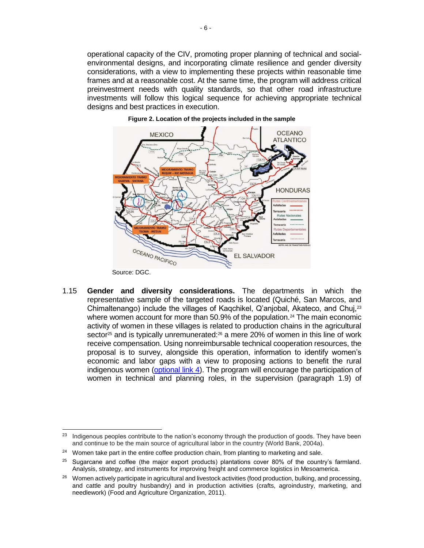operational capacity of the CIV, promoting proper planning of technical and socialenvironmental designs, and incorporating climate resilience and gender diversity considerations, with a view to implementing these projects within reasonable time frames and at a reasonable cost. At the same time, the program will address critical preinvestment needs with quality standards, so that other road infrastructure investments will follow this logical sequence for achieving appropriate technical designs and best practices in execution.





1.15 **Gender and diversity considerations.** The departments in which the representative sample of the targeted roads is located (Quiché, San Marcos, and Chimaltenango) include the villages of Kaqchikel, Q'anjobal, Akateco, and Chuj,<sup>23</sup> where women account for more than 50.9% of the population.<sup>24</sup> The main economic activity of women in these villages is related to production chains in the agricultural sector<sup>25</sup> and is typically unremunerated: $26$  a mere 20% of women in this line of work receive compensation. Using nonreimbursable technical cooperation resources, the proposal is to survey, alongside this operation, information to identify women's economic and labor gaps with a view to proposing actions to benefit the rural indigenous women [\(optional link 4\)](http://idbdocs.iadb.org/wsdocs/getDocument.aspx?DOCNUM=EZSHARE-1990667305-28). The program will encourage the participation of women in technical and planning roles, in the supervision (paragraph [1.9\)](#page-10-0) of

 <sup>23</sup> Indigenous peoples contribute to the nation's economy through the production of goods. They have been and continue to be the main source of agricultural labor in the country (World Bank, 2004a).

<sup>&</sup>lt;sup>24</sup> Women take part in the entire coffee production chain, from planting to marketing and sale.

 $25$  Sugarcane and coffee (the major export products) plantations cover 80% of the country's farmland. Analysis, strategy, and instruments for improving freight and commerce logistics in Mesoamerica.

 $26$  Women actively participate in agricultural and livestock activities (food production, bulking, and processing, and cattle and poultry husbandry) and in production activities (crafts, agroindustry, marketing, and needlework) (Food and Agriculture Organization, 2011).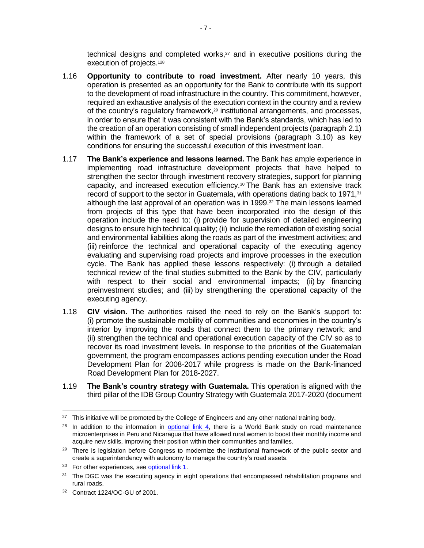technical designs and completed works, $27$  and in executive positions during the execution of projects.<sup>128</sup>

- 1.16 **Opportunity to contribute to road investment.** After nearly 10 years, this operation is presented as an opportunity for the Bank to contribute with its support to the development of road infrastructure in the country. This commitment, however, required an exhaustive analysis of the execution context in the country and a review of the country's regulatory framework,<sup>29</sup> institutional arrangements, and processes, in order to ensure that it was consistent with the Bank's standards, which has led to the creation of an operation consisting of small independent projects (paragraph 2.1) within the framework of a set of special provisions (paragraph 3.10) as key conditions for ensuring the successful execution of this investment loan.
- 1.17 **The Bank's experience and lessons learned.** The Bank has ample experience in implementing road infrastructure development projects that have helped to strengthen the sector through investment recovery strategies, support for planning capacity, and increased execution efficiency. $30$  The Bank has an extensive track record of support to the sector in Guatemala, with operations dating back to 1971,<sup>31</sup> although the last approval of an operation was in 1999. $32$  The main lessons learned from projects of this type that have been incorporated into the design of this operation include the need to: (i) provide for supervision of detailed engineering designs to ensure high technical quality; (ii) include the remediation of existing social and environmental liabilities along the roads as part of the investment activities; and (iii) reinforce the technical and operational capacity of the executing agency evaluating and supervising road projects and improve processes in the execution cycle. The Bank has applied these lessons respectively: (i) through a detailed technical review of the final studies submitted to the Bank by the CIV, particularly with respect to their social and environmental impacts; (ii) by financing preinvestment studies; and (iii) by strengthening the operational capacity of the executing agency.
- 1.18 **CIV vision.** The authorities raised the need to rely on the Bank's support to: (i) promote the sustainable mobility of communities and economies in the country's interior by improving the roads that connect them to the primary network; and (ii) strengthen the technical and operational execution capacity of the CIV so as to recover its road investment levels. In response to the priorities of the Guatemalan government, the program encompasses actions pending execution under the Road Development Plan for 2008-2017 while progress is made on the Bank-financed Road Development Plan for 2018-2027.
- 1.19 **The Bank's country strategy with Guatemala.** This operation is aligned with the third pillar of the IDB Group Country Strategy with Guatemala 2017-2020 (document

 <sup>27</sup> This initiative will be promoted by the College of Engineers and any other national training body.

 $28$  In addition to the information in [optional link 4,](http://idbdocs.iadb.org/wsdocs/getDocument.aspx?DOCNUM=EZSHARE-1990667305-28) there is a World Bank study on road maintenance microenterprises in Peru and Nicaragua that have allowed rural women to boost their monthly income and acquire new skills, improving their position within their communities and families.

<sup>&</sup>lt;sup>29</sup> There is legislation before Congress to modernize the institutional framework of the public sector and create a superintendency with autonomy to manage the country's road assets.

<sup>&</sup>lt;sup>30</sup> For other experiences, see [optional link 1.](http://idbdocs.iadb.org/wsdocs/getDocument.aspx?DOCNUM=EZSHARE-1990667305-19)

<sup>&</sup>lt;sup>31</sup> The DGC was the executing agency in eight operations that encompassed rehabilitation programs and rural roads.

<sup>32</sup> Contract 1224/OC-GU of 2001.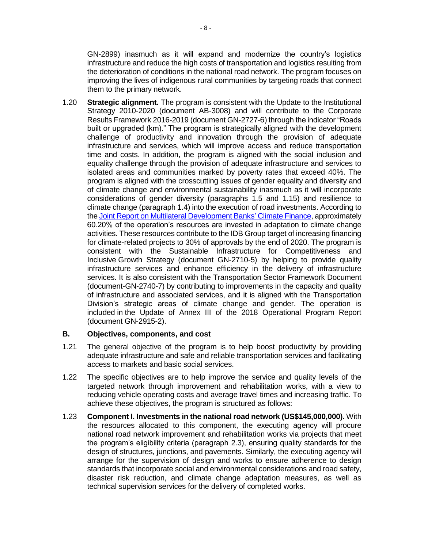GN-2899) inasmuch as it will expand and modernize the country's logistics infrastructure and reduce the high costs of transportation and logistics resulting from the deterioration of conditions in the national road network. The program focuses on improving the lives of indigenous rural communities by targeting roads that connect them to the primary network.

1.20 **Strategic alignment.** The program is consistent with the Update to the Institutional Strategy 2010-2020 (document AB-3008) and will contribute to the Corporate Results Framework 2016-2019 (document GN-2727-6) through the indicator "Roads built or upgraded (km)." The program is strategically aligned with the development challenge of productivity and innovation through the provision of adequate infrastructure and services, which will improve access and reduce transportation time and costs. In addition, the program is aligned with the social inclusion and equality challenge through the provision of adequate infrastructure and services to isolated areas and communities marked by poverty rates that exceed 40%. The program is aligned with the crosscutting issues of gender equality and diversity and of climate change and environmental sustainability inasmuch as it will incorporate considerations of gender diversity (paragraphs 1.5 and 1.15) and resilience to climate change (paragraph 1.4) into the execution of road investments. According to the [Joint Report on Multilateral Development Banks'](https://publications.iadb.org/handle/11319/8505) Climate Finance, approximately 60.20% of the operation's resources are invested in adaptation to climate change activities. These resources contribute to the IDB Group target of increasing financing for climate-related projects to 30% of approvals by the end of 2020. The program is consistent with the Sustainable Infrastructure for Competitiveness and Inclusive Growth Strategy (document GN-2710-5) by helping to provide quality infrastructure services and enhance efficiency in the delivery of infrastructure services. It is also consistent with the Transportation Sector Framework Document (document-GN-2740-7) by contributing to improvements in the capacity and quality of infrastructure and associated services, and it is aligned with the Transportation Division's strategic areas of climate change and gender. The operation is included in the Update of Annex III of the 2018 Operational Program Report (document GN-2915-2).

#### **B. Objectives, components, and cost**

- 1.21 The general objective of the program is to help boost productivity by providing adequate infrastructure and safe and reliable transportation services and facilitating access to markets and basic social services.
- 1.22 The specific objectives are to help improve the service and quality levels of the targeted network through improvement and rehabilitation works, with a view to reducing vehicle operating costs and average travel times and increasing traffic. To achieve these objectives, the program is structured as follows:
- 1.23 **Component I. Investments in the national road network (US\$145,000,000).** With the resources allocated to this component, the executing agency will procure national road network improvement and rehabilitation works via projects that meet the program's eligibility criteria (paragraph 2.3), ensuring quality standards for the design of structures, junctions, and pavements. Similarly, the executing agency will arrange for the supervision of design and works to ensure adherence to design standards that incorporate social and environmental considerations and road safety, disaster risk reduction, and climate change adaptation measures, as well as technical supervision services for the delivery of completed works.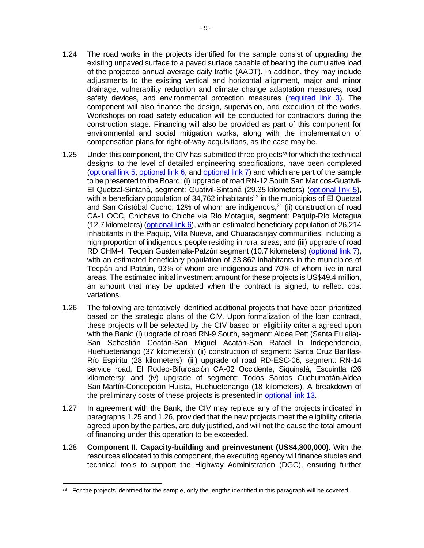- 1.24 The road works in the projects identified for the sample consist of upgrading the existing unpaved surface to a paved surface capable of bearing the cumulative load of the projected annual average daily traffic (AADT). In addition, they may include adjustments to the existing vertical and horizontal alignment, major and minor drainage, vulnerability reduction and climate change adaptation measures, road safety devices, and environmental protection measures [\(required link 3\)](http://idbdocs.iadb.org/wsdocs/getDocument.aspx?DOCNUM=EZSHARE-1990667305-17). The component will also finance the design, supervision, and execution of the works. Workshops on road safety education will be conducted for contractors during the construction stage. Financing will also be provided as part of this component for environmental and social mitigation works, along with the implementation of compensation plans for right-of-way acquisitions, as the case may be.
- 1.25 Under this component, the CIV has submitted three projects $^{33}$  for which the technical designs, to the level of detailed engineering specifications, have been completed [\(optional link 5,](http://idbdocs.iadb.org/wsdocs/getDocument.aspx?DOCNUM=EZSHARE-1990667305-29) [optional link 6,](http://idbdocs.iadb.org/wsdocs/getDocument.aspx?DOCNUM=EZSHARE-1990667305-30) an[d optional link 7\)](http://idbdocs.iadb.org/wsdocs/getDocument.aspx?DOCNUM=EZSHARE-1990667305-31) and which are part of the sample to be presented to the Board: (i) upgrade of road RN-12 South San Maricos-Guativil-El Quetzal-Sintaná, segment: Guativil-Sintaná (29.35 kilometers) [\(optional link](http://idbdocs.iadb.org/wsdocs/getDocument.aspx?DOCNUM=EZSHARE-1990667305-29) 5), with a beneficiary population of 34,762 inhabitants<sup>23</sup> in the municipios of El Quetzal and San Cristóbal Cucho, 12% of whom are indigenous; $24$  (ii) construction of road CA-1 OCC, Chichava to Chiche via Río Motagua, segment: Paquip-Río Motagua (12.7 kilometers) (optional link  $6$ ), with an estimated beneficiary population of 26,214 inhabitants in the Paquip, Villa Nueva, and Chuaracanjay communities, including a high proportion of indigenous people residing in rural areas; and (iii) upgrade of road RD CHM-4, Tecpán Guatemala-Patzún segment (10.7 kilometers) [\(optional link 7\)](http://idbdocs.iadb.org/wsdocs/getDocument.aspx?DOCNUM=EZSHARE-1990667305-31), with an estimated beneficiary population of 33,862 inhabitants in the municipios of Tecpán and Patzún, 93% of whom are indigenous and 70% of whom live in rural areas. The estimated initial investment amount for these projects is US\$49.4 million, an amount that may be updated when the contract is signed, to reflect cost variations.
- 1.26 The following are tentatively identified additional projects that have been prioritized based on the strategic plans of the CIV. Upon formalization of the loan contract, these projects will be selected by the CIV based on eligibility criteria agreed upon with the Bank: (i) upgrade of road RN-9 South, segment: Aldea Pett (Santa Eulalia)- San Sebastián Coatán-San Miguel Acatán-San Rafael la Independencia, Huehuetenango (37 kilometers); (ii) construction of segment: Santa Cruz Barillas-Río Espíritu (28 kilometers); (iii) upgrade of road RD-ESC-06, segment: RN-14 service road, El Rodeo-Bifurcación CA-02 Occidente, Siquinalá, Escuintla (26 kilometers); and (iv) upgrade of segment: Todos Santos Cuchumatán-Aldea San Martín-Concepción Huista, Huehuetenango (18 kilometers). A breakdown of the preliminary costs of these projects is presented in [optional link 13.](http://idbdocs.iadb.org/wsdocs/getDocument.aspx?DOCNUM=EZSHARE-1990667305-66)
- 1.27 In agreement with the Bank, the CIV may replace any of the projects indicated in paragraphs 1.25 and 1.26, provided that the new projects meet the eligibility criteria agreed upon by the parties, are duly justified, and will not the cause the total amount of financing under this operation to be exceeded.
- 1.28 **Component II. Capacity-building and preinvestment (US\$4,300,000).** With the resources allocated to this component, the executing agency will finance studies and technical tools to support the Highway Administration (DGC), ensuring further

<sup>33</sup> For the projects identified for the sample, only the lengths identified in this paragraph will be covered.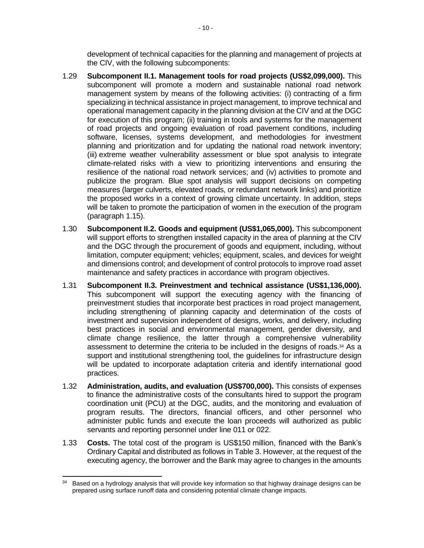development of technical capacities for the planning and management of projects at the CIV, with the following subcomponents:

- 1.29 **Subcomponent II.1. Management tools for road projects (US\$2,099,000).** This subcomponent will promote a modern and sustainable national road network management system by means of the following activities: (i) contracting of a firm specializing in technical assistance in project management, to improve technical and operational management capacity in the planning division at the CIV and at the DGC for execution of this program; (ii) training in tools and systems for the management of road projects and ongoing evaluation of road pavement conditions, including software, licenses, systems development, and methodologies for investment planning and prioritization and for updating the national road network inventory; (iii) extreme weather vulnerability assessment or blue spot analysis to integrate climate-related risks with a view to prioritizing interventions and ensuring the resilience of the national road network services; and (iv) activities to promote and publicize the program. Blue spot analysis will support decisions on competing measures (larger culverts, elevated roads, or redundant network links) and prioritize the proposed works in a context of growing climate uncertainty. In addition, steps will be taken to promote the participation of women in the execution of the program (paragraph 1.15).
- 1.30 **Subcomponent II.2. Goods and equipment (US\$1,065,000).** This subcomponent will support efforts to strengthen installed capacity in the area of planning at the CIV and the DGC through the procurement of goods and equipment, including, without limitation, computer equipment; vehicles; equipment, scales, and devices for weight and dimensions control; and development of control protocols to improve road asset maintenance and safety practices in accordance with program objectives.
- 1.31 **Subcomponent II.3. Preinvestment and technical assistance (US\$1,136,000).**  This subcomponent will support the executing agency with the financing of preinvestment studies that incorporate best practices in road project management, including strengthening of planning capacity and determination of the costs of investment and supervision independent of designs, works, and delivery, including best practices in social and environmental management, gender diversity, and climate change resilience, the latter through a comprehensive vulnerability assessment to determine the criteria to be included in the designs of roads. <sup>34</sup> As a support and institutional strengthening tool, the guidelines for infrastructure design will be updated to incorporate adaptation criteria and identify international good practices.
- 1.32 **Administration, audits, and evaluation (US\$700,000).** This consists of expenses to finance the administrative costs of the consultants hired to support the program coordination unit (PCU) at the DGC, audits, and the monitoring and evaluation of program results. The directors, financial officers, and other personnel who administer public funds and execute the loan proceeds will authorized as public servants and reporting personnel under line 011 or 022.
- 1.33 **Costs.** The total cost of the program is US\$150 million, financed with the Bank's Ordinary Capital and distributed as follows in Table 3. However, at the request of the executing agency, the borrower and the Bank may agree to changes in the amounts

 $\overline{a}$ 

<sup>&</sup>lt;sup>34</sup> Based on a hydrology analysis that will provide key information so that highway drainage designs can be prepared using surface runoff data and considering potential climate change impacts.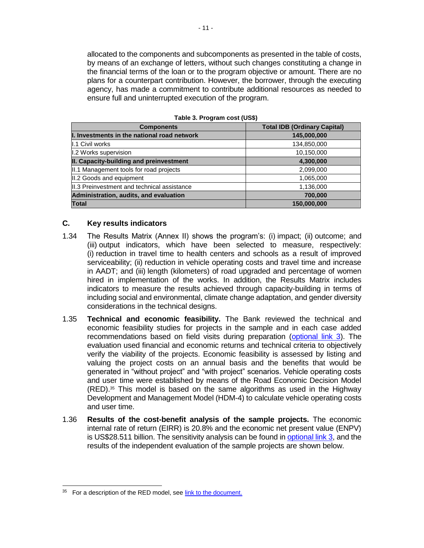allocated to the components and subcomponents as presented in the table of costs, by means of an exchange of letters, without such changes constituting a change in the financial terms of the loan or to the program objective or amount. There are no plans for a counterpart contribution. However, the borrower, through the executing agency, has made a commitment to contribute additional resources as needed to ensure full and uninterrupted execution of the program.

| <b>Components</b>                            | <b>Total IDB (Ordinary Capital)</b> |  |  |
|----------------------------------------------|-------------------------------------|--|--|
| I. Investments in the national road network  | 145,000,000                         |  |  |
| <b>I.1 Civil works</b>                       | 134,850,000                         |  |  |
| I.2 Works supervision                        | 10,150,000                          |  |  |
| II. Capacity-building and preinvestment      | 4,300,000                           |  |  |
| II.1 Management tools for road projects      | 2,099,000                           |  |  |
| II.2 Goods and equipment                     | 1,065,000                           |  |  |
| III.3 Preinvestment and technical assistance | 1,136,000                           |  |  |
| Administration, audits, and evaluation       | 700,000                             |  |  |
| <b>Total</b>                                 | 150,000,000                         |  |  |

**Table 3. Program cost (US\$)**

#### **C. Key results indicators**

- 1.34 The Results Matrix (Annex II) shows the program's: (i) impact; (ii) outcome; and (iii) output indicators, which have been selected to measure, respectively: (i) reduction in travel time to health centers and schools as a result of improved serviceability; (ii) reduction in vehicle operating costs and travel time and increase in AADT; and (iii) length (kilometers) of road upgraded and percentage of women hired in implementation of the works. In addition, the Results Matrix includes indicators to measure the results achieved through capacity-building in terms of including social and environmental, climate change adaptation, and gender diversity considerations in the technical designs.
- 1.35 **Technical and economic feasibility.** The Bank reviewed the technical and economic feasibility studies for projects in the sample and in each case added recommendations based on field visits during preparation [\(optional link 3\)](http://idbdocs.iadb.org/wsdocs/getDocument.aspx?DOCNUM=EZSHARE-1990667305-21). The evaluation used financial and economic returns and technical criteria to objectively verify the viability of the projects. Economic feasibility is assessed by listing and valuing the project costs on an annual basis and the benefits that would be generated in "without project" and "with project" scenarios. Vehicle operating costs and user time were established by means of the Road Economic Decision Model (RED).<sup>35</sup> This model is based on the same algorithms as used in the Highway Development and Management Model (HDM-4) to calculate vehicle operating costs and user time.
- 1.36 **Results of the cost-benefit analysis of the sample projects.** The economic internal rate of return (EIRR) is 20.8% and the economic net present value (ENPV) is US\$28.511 billion. The sensitivity analysis can be found in [optional link 3,](http://idbdocs.iadb.org/wsdocs/getDocument.aspx?DOCNUM=EZSHARE-1990667305-21) and the results of the independent evaluation of the sample projects are shown below.

<sup>&</sup>lt;sup>35</sup> For a description of the RED model, see [link to the document.](http://www.ssatp.org/sites/ssatp/files/publications/HTML/Models/RED_3.2/RED%20-%20Modelo%20RED%20Versi%C3%B3n%203.2/RED%20-%20Publicaion%20Tecnica.pdf)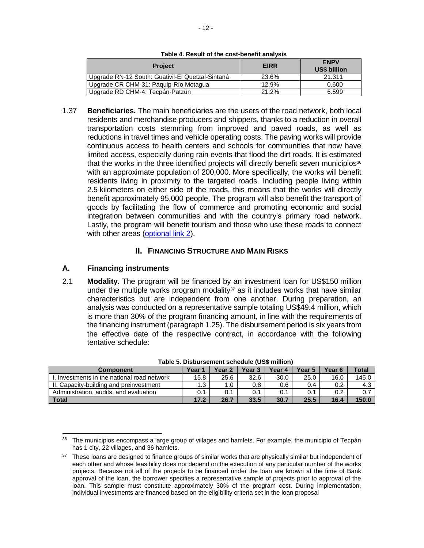| Table 4. Result of the cost-benefit analysis |  |  |  |
|----------------------------------------------|--|--|--|
|----------------------------------------------|--|--|--|

| <b>Project</b>                                   | <b>EIRR</b> | <b>ENPV</b><br><b>US\$ billion</b> |
|--------------------------------------------------|-------------|------------------------------------|
| Upgrade RN-12 South: Guativil-El Quetzal-Sintaná | 23.6%       | 21.311                             |
| Upgrade CR CHM-31: Paguip-Río Motagua            | 12.9%       | 0.600                              |
| Upgrade RD CHM-4: Tecpán-Patzún                  | 21.2%       | 6.599                              |

1.37 **Beneficiaries.** The main beneficiaries are the users of the road network, both local residents and merchandise producers and shippers, thanks to a reduction in overall transportation costs stemming from improved and paved roads, as well as reductions in travel times and vehicle operating costs. The paving works will provide continuous access to health centers and schools for communities that now have limited access, especially during rain events that flood the dirt roads. It is estimated that the works in the three identified projects will directly benefit seven municipios $36$ with an approximate population of 200,000. More specifically, the works will benefit residents living in proximity to the targeted roads. Including people living within 2.5 kilometers on either side of the roads, this means that the works will directly benefit approximately 95,000 people. The program will also benefit the transport of goods by facilitating the flow of commerce and promoting economic and social integration between communities and with the country's primary road network. Lastly, the program will benefit tourism and those who use these roads to connect with other areas [\(optional link 2\)](http://idbdocs.iadb.org/wsdocs/getDocument.aspx?DOCNUM=EZSHARE-1990667305-68).

# **II. FINANCING STRUCTURE AND MAIN RISKS**

# **A. Financing instruments**

2.1 **Modality.** The program will be financed by an investment loan for US\$150 million under the multiple works program modality<sup>37</sup> as it includes works that have similar characteristics but are independent from one another. During preparation, an analysis was conducted on a representative sample totaling US\$49.4 million, which is more than 30% of the program financing amount, in line with the requirements of the financing instrument (paragraph 1.25). The disbursement period is six years from the effective date of the respective contract, in accordance with the following tentative schedule:

| <b>Component</b>                           | Year | Year 2 | Year 3 | Year 4 | Year 5 | Year 6 | Total |  |  |  |
|--------------------------------------------|------|--------|--------|--------|--------|--------|-------|--|--|--|
| . Investments in the national road network | 15.8 | 25.6   | 32.6   | 30.0   | 25.0   | 16.0   | 145.0 |  |  |  |
| II. Capacity-building and preinvestment    | 1.3  | 1.0    | 0.8    | 0.6    | 0.4    | 0.2    | 4.3   |  |  |  |
| Administration, audits, and evaluation     | 0.1  |        | 0.1    | 0.1    | 0.1    | 0.2    | 0.7   |  |  |  |
| <b>Total</b>                               | 17.2 | 26.7   | 33.5   | 30.7   | 25.5   | 16.4   | 150.0 |  |  |  |

**Table 5. Disbursement schedule (US\$ million)**

 <sup>36</sup> The municipios encompass a large group of villages and hamlets. For example, the municipio of Tecpán has 1 city, 22 villages, and 36 hamlets.

<sup>&</sup>lt;sup>37</sup> These loans are designed to finance groups of similar works that are physically similar but independent of each other and whose feasibility does not depend on the execution of any particular number of the works projects. Because not all of the projects to be financed under the loan are known at the time of Bank approval of the loan, the borrower specifies a representative sample of projects prior to approval of the loan. This sample must constitute approximately 30% of the program cost. During implementation, individual investments are financed based on the eligibility criteria set in the loan proposal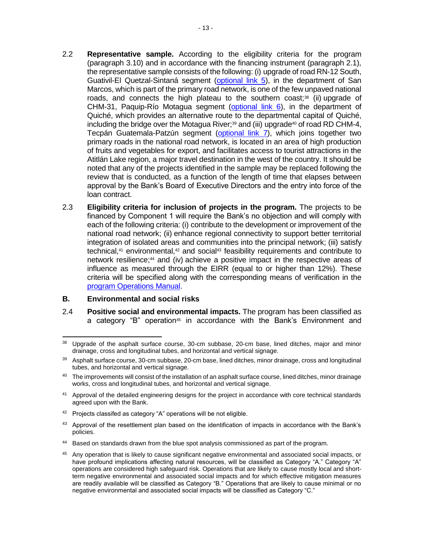- 2.2 **Representative sample.** According to the eligibility criteria for the program (paragraph 3.10) and in accordance with the financing instrument (paragraph 2.1), the representative sample consists of the following: (i) upgrade of road RN-12 South, Guativil-El Quetzal-Sintaná segment [\(optional link 5\)](http://idbdocs.iadb.org/wsdocs/getDocument.aspx?DOCNUM=EZSHARE-1990667305-29), in the department of San Marcos, which is part of the primary road network, is one of the few unpaved national roads, and connects the high plateau to the southern coast;<sup>38</sup> (ii) upgrade of CHM-31, Paquip-Río Motagua segment [\(optional link 6\)](http://idbdocs.iadb.org/wsdocs/getDocument.aspx?DOCNUM=EZSHARE-1990667305-30), in the department of Quiché, which provides an alternative route to the departmental capital of Quiché, including the bridge over the Motagua River;<sup>39</sup> and (iii) upgrade<sup>40</sup> of road RD CHM-4, Tecpán Guatemala-Patzún segment [\(optional link 7\)](http://idbdocs.iadb.org/wsdocs/getDocument.aspx?DOCNUM=EZSHARE-1990667305-31), which joins together two primary roads in the national road network, is located in an area of high production of fruits and vegetables for export, and facilitates access to tourist attractions in the Atitlán Lake region, a major travel destination in the west of the country. It should be noted that any of the projects identified in the sample may be replaced following the review that is conducted, as a function of the length of time that elapses between approval by the Bank's Board of Executive Directors and the entry into force of the loan contract.
- 2.3 **Eligibility criteria for inclusion of projects in the program.** The projects to be financed by Component 1 will require the Bank's no objection and will comply with each of the following criteria: (i) contribute to the development or improvement of the national road network; (ii) enhance regional connectivity to support better territorial integration of isolated areas and communities into the principal network; (iii) satisfy technical,<sup>41</sup> environmental,<sup>42</sup> and social<sup>43</sup> feasibility requirements and contribute to network resilience;<sup>44</sup> and (iv) achieve a positive impact in the respective areas of influence as measured through the EIRR (equal to or higher than 12%). These criteria will be specified along with the corresponding means of verification in the [program Operations Manual.](http://idbdocs.iadb.org/wsdocs/getDocument.aspx?DOCNUM=EZSHARE-1990667305-64)

#### **B. Environmental and social risks**

2.4 **Positive social and environmental impacts.** The program has been classified as a category "B" operation<sup>45</sup> in accordance with the Bank's Environment and

- $42$  Projects classifed as category "A" operations will be not eligible.
- 43 Approval of the resettlement plan based on the identification of impacts in accordance with the Bank's policies.
- 44 Based on standards drawn from the blue spot analysis commissioned as part of the program.
- <sup>45</sup> Any operation that is likely to cause significant negative environmental and associated social impacts, or have profound implications affecting natural resources, will be classified as Category "A." Category "A" operations are considered high safeguard risk. Operations that are likely to cause mostly local and shortterm negative environmental and associated social impacts and for which effective mitigation measures are readily available will be classified as Category "B." Operations that are likely to cause minimal or no negative environmental and associated social impacts will be classified as Category "C."

<sup>&</sup>lt;sup>38</sup> Upgrade of the asphalt surface course, 30-cm subbase, 20-cm base, lined ditches, major and minor drainage, cross and longitudinal tubes, and horizontal and vertical signage.

<sup>39</sup> Asphalt surface course, 30-cm subbase, 20-cm base, lined ditches, minor drainage, cross and longitudinal tubes, and horizontal and vertical signage.

<sup>&</sup>lt;sup>40</sup> The improvements will consist of the installation of an asphalt surface course, lined ditches, minor drainage works, cross and longitudinal tubes, and horizontal and vertical signage.

<sup>&</sup>lt;sup>41</sup> Approval of the detailed engineering designs for the project in accordance with core technical standards agreed upon with the Bank.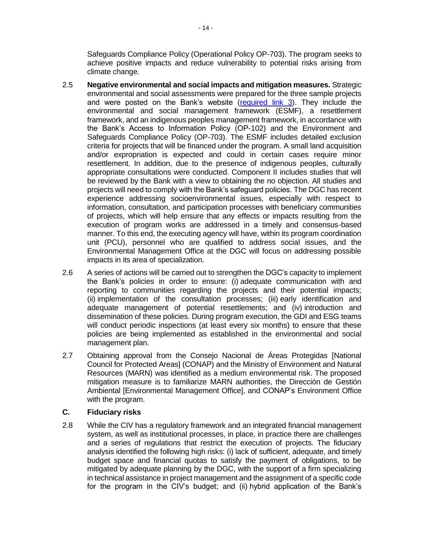Safeguards Compliance Policy (Operational Policy OP-703). The program seeks to achieve positive impacts and reduce vulnerability to potential risks arising from climate change.

- 2.5 **Negative environmental and social impacts and mitigation measures.** Strategic environmental and social assessments were prepared for the three sample projects and were posted on the Bank's website [\(required link 3\)](http://idbdocs.iadb.org/wsdocs/getDocument.aspx?DOCNUM=EZSHARE-1990667305-17). They include the environmental and social management framework (ESMF), a resettlement framework, and an indigenous peoples management framework, in accordance with the Bank's Access to Information Policy (OP-102) and the Environment and Safeguards Compliance Policy (OP-703). The ESMF includes detailed exclusion criteria for projects that will be financed under the program. A small land acquisition and/or expropriation is expected and could in certain cases require minor resettlement. In addition, due to the presence of indigenous peoples, culturally appropriate consultations were conducted. Component II includes studies that will be reviewed by the Bank with a view to obtaining the no objection. All studies and projects will need to comply with the Bank's safeguard policies. The DGC has recent experience addressing socioenvironmental issues, especially with respect to information, consultation, and participation processes with beneficiary communities of projects, which will help ensure that any effects or impacts resulting from the execution of program works are addressed in a timely and consensus-based manner. To this end, the executing agency will have, within its program coordination unit (PCU), personnel who are qualified to address social issues, and the Environmental Management Office at the DGC will focus on addressing possible impacts in its area of specialization.
- 2.6 A series of actions will be carried out to strengthen the DGC's capacity to implement the Bank's policies in order to ensure: (i) adequate communication with and reporting to communities regarding the projects and their potential impacts; (ii) implementation of the consultation processes; (iii) early identification and adequate management of potential resettlements; and (iv) introduction and dissemination of these policies. During program execution, the GDI and ESG teams will conduct periodic inspections (at least every six months) to ensure that these policies are being implemented as established in the environmental and social management plan.
- 2.7 Obtaining approval from the Consejo Nacional de Áreas Protegidas [National Council for Protected Areas] (CONAP) and the Ministry of Environment and Natural Resources (MARN) was identified as a medium environmental risk. The proposed mitigation measure is to familiarize MARN authorities, the Dirección de Gestión Ambiental [Environmental Management Office], and CONAP's Environment Office with the program.

# **C. Fiduciary risks**

2.8 While the CIV has a regulatory framework and an integrated financial management system, as well as institutional processes, in place, in practice there are challenges and a series of regulations that restrict the execution of projects. The fiduciary analysis identified the following high risks: (i) lack of sufficient, adequate, and timely budget space and financial quotas to satisfy the payment of obligations, to be mitigated by adequate planning by the DGC, with the support of a firm specializing in technical assistance in project management and the assignment of a specific code for the program in the CIV's budget; and (ii) hybrid application of the Bank's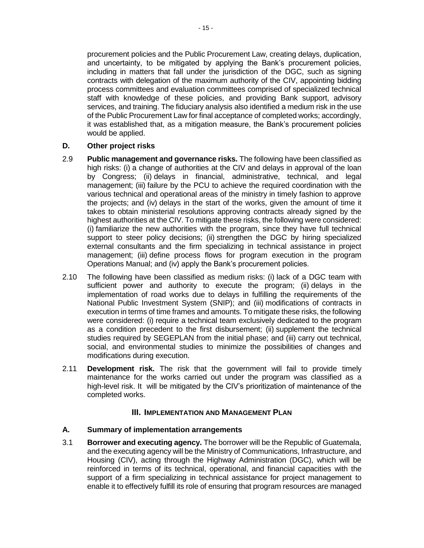procurement policies and the Public Procurement Law, creating delays, duplication, and uncertainty, to be mitigated by applying the Bank's procurement policies, including in matters that fall under the jurisdiction of the DGC, such as signing contracts with delegation of the maximum authority of the CIV, appointing bidding process committees and evaluation committees comprised of specialized technical staff with knowledge of these policies, and providing Bank support, advisory services, and training. The fiduciary analysis also identified a medium risk in the use of the Public Procurement Law for final acceptance of completed works; accordingly, it was established that, as a mitigation measure, the Bank's procurement policies would be applied.

#### **D. Other project risks**

- 2.9 **Public management and governance risks.** The following have been classified as high risks: (i) a change of authorities at the CIV and delays in approval of the loan by Congress; (ii) delays in financial, administrative, technical, and legal management; (iii) failure by the PCU to achieve the required coordination with the various technical and operational areas of the ministry in timely fashion to approve the projects; and (iv) delays in the start of the works, given the amount of time it takes to obtain ministerial resolutions approving contracts already signed by the highest authorities at the CIV. To mitigate these risks, the following were considered: (i) familiarize the new authorities with the program, since they have full technical support to steer policy decisions; (ii) strengthen the DGC by hiring specialized external consultants and the firm specializing in technical assistance in project management; (iii) define process flows for program execution in the program Operations Manual; and (iv) apply the Bank's procurement policies.
- 2.10 The following have been classified as medium risks: (i) lack of a DGC team with sufficient power and authority to execute the program; (ii) delays in the implementation of road works due to delays in fulfilling the requirements of the National Public Investment System (SNIP); and (iii) modifications of contracts in execution in terms of time frames and amounts. To mitigate these risks, the following were considered: (i) require a technical team exclusively dedicated to the program as a condition precedent to the first disbursement; (ii) supplement the technical studies required by SEGEPLAN from the initial phase; and (iii) carry out technical, social, and environmental studies to minimize the possibilities of changes and modifications during execution.
- 2.11 **Development risk.** The risk that the government will fail to provide timely maintenance for the works carried out under the program was classified as a high-level risk. It will be mitigated by the CIV's prioritization of maintenance of the completed works.

# **III. IMPLEMENTATION AND MANAGEMENT PLAN**

#### **A. Summary of implementation arrangements**

3.1 **Borrower and executing agency.** The borrower will be the Republic of Guatemala, and the executing agency will be the Ministry of Communications, Infrastructure, and Housing (CIV), acting through the Highway Administration (DGC), which will be reinforced in terms of its technical, operational, and financial capacities with the support of a firm specializing in technical assistance for project management to enable it to effectively fulfill its role of ensuring that program resources are managed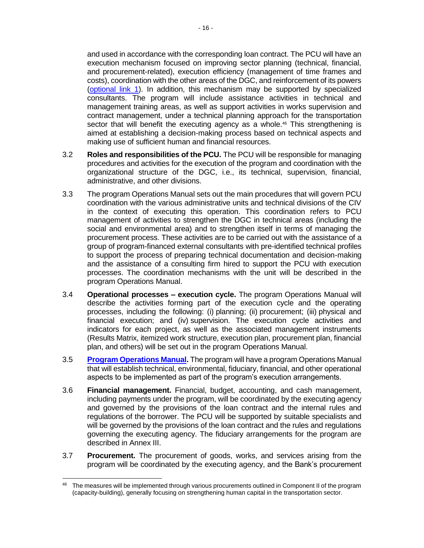and used in accordance with the corresponding loan contract. The PCU will have an execution mechanism focused on improving sector planning (technical, financial, and procurement-related), execution efficiency (management of time frames and costs), coordination with the other areas of the DGC, and reinforcement of its powers [\(optional link 1\)](http://idbdocs.iadb.org/wsdocs/getDocument.aspx?DOCNUM=EZSHARE-1990667305-19). In addition, this mechanism may be supported by specialized consultants. The program will include assistance activities in technical and management training areas, as well as support activities in works supervision and contract management, under a technical planning approach for the transportation sector that will benefit the executing agency as a whole.<sup>46</sup> This strengthening is aimed at establishing a decision-making process based on technical aspects and making use of sufficient human and financial resources.

- 3.2 **Roles and responsibilities of the PCU.** The PCU will be responsible for managing procedures and activities for the execution of the program and coordination with the organizational structure of the DGC, i.e., its technical, supervision, financial, administrative, and other divisions.
- 3.3 The program Operations Manual sets out the main procedures that will govern PCU coordination with the various administrative units and technical divisions of the CIV in the context of executing this operation. This coordination refers to PCU management of activities to strengthen the DGC in technical areas (including the social and environmental area) and to strengthen itself in terms of managing the procurement process. These activities are to be carried out with the assistance of a group of program-financed external consultants with pre-identified technical profiles to support the process of preparing technical documentation and decision-making and the assistance of a consulting firm hired to support the PCU with execution processes. The coordination mechanisms with the unit will be described in the program Operations Manual.
- 3.4 **Operational processes – execution cycle.** The program Operations Manual will describe the activities forming part of the execution cycle and the operating processes, including the following: (i) planning; (ii) procurement; (iii) physical and financial execution; and (iv) supervision. The execution cycle activities and indicators for each project, as well as the associated management instruments (Results Matrix, itemized work structure, execution plan, procurement plan, financial plan, and others) will be set out in the program Operations Manual.
- 3.5 **[Program Operations](http://idbdocs.iadb.org/wsdocs/getDocument.aspx?DOCNUM=EZSHARE-1990667305-64) Manual.** The program will have a program Operations Manual that will establish technical, environmental, fiduciary, financial, and other operational aspects to be implemented as part of the program's execution arrangements.
- 3.6 **Financial management.** Financial, budget, accounting, and cash management, including payments under the program, will be coordinated by the executing agency and governed by the provisions of the loan contract and the internal rules and regulations of the borrower. The PCU will be supported by suitable specialists and will be governed by the provisions of the loan contract and the rules and regulations governing the executing agency. The fiduciary arrangements for the program are described in Annex III.
- 3.7 **Procurement.** The procurement of goods, works, and services arising from the program will be coordinated by the executing agency, and the Bank's procurement

 $\overline{a}$ <sup>46</sup> The measures will be implemented through various procurements outlined in Component II of the program (capacity-building), generally focusing on strengthening human capital in the transportation sector.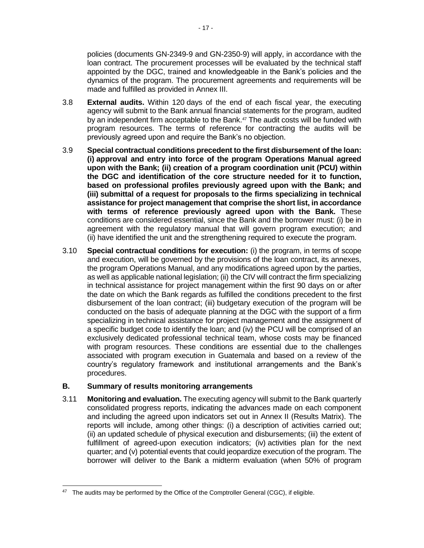policies (documents GN-2349-9 and GN-2350-9) will apply, in accordance with the loan contract. The procurement processes will be evaluated by the technical staff appointed by the DGC, trained and knowledgeable in the Bank's policies and the dynamics of the program. The procurement agreements and requirements will be made and fulfilled as provided in Annex III.

- 3.8 **External audits.** Within 120 days of the end of each fiscal year, the executing agency will submit to the Bank annual financial statements for the program, audited by an independent firm acceptable to the Bank.<sup>47</sup> The audit costs will be funded with program resources. The terms of reference for contracting the audits will be previously agreed upon and require the Bank's no objection.
- 3.9 **Special contractual conditions precedent to the first disbursement of the loan: (i) approval and entry into force of the program Operations Manual agreed upon with the Bank; (ii) creation of a program coordination unit (PCU) within the DGC and identification of the core structure needed for it to function, based on professional profiles previously agreed upon with the Bank; and (iii) submittal of a request for proposals to the firms specializing in technical assistance for project management that comprise the short list, in accordance with terms of reference previously agreed upon with the Bank.** These conditions are considered essential, since the Bank and the borrower must: (i) be in agreement with the regulatory manual that will govern program execution; and (ii) have identified the unit and the strengthening required to execute the program.
- 3.10 **Special contractual conditions for execution:** (i) the program, in terms of scope and execution, will be governed by the provisions of the loan contract, its annexes, the program Operations Manual, and any modifications agreed upon by the parties, as well as applicable national legislation; (ii) the CIV will contract the firm specializing in technical assistance for project management within the first 90 days on or after the date on which the Bank regards as fulfilled the conditions precedent to the first disbursement of the loan contract; (iii) budgetary execution of the program will be conducted on the basis of adequate planning at the DGC with the support of a firm specializing in technical assistance for project management and the assignment of a specific budget code to identify the loan; and (iv) the PCU will be comprised of an exclusively dedicated professional technical team, whose costs may be financed with program resources. These conditions are essential due to the challenges associated with program execution in Guatemala and based on a review of the country's regulatory framework and institutional arrangements and the Bank's procedures.

# **B. Summary of results monitoring arrangements**

3.11 **Monitoring and evaluation.** The executing agency will submit to the Bank quarterly consolidated progress reports, indicating the advances made on each component and including the agreed upon indicators set out in Annex II (Results Matrix). The reports will include, among other things: (i) a description of activities carried out; (ii) an updated schedule of physical execution and disbursements; (iii) the extent of fulfillment of agreed-upon execution indicators; (iv) activities plan for the next quarter; and (v) potential events that could jeopardize execution of the program. The borrower will deliver to the Bank a midterm evaluation (when 50% of program

 $47$  The audits may be performed by the Office of the Comptroller General (CGC), if eligible.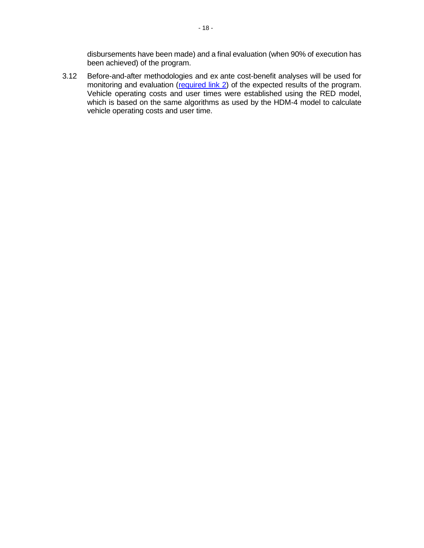disbursements have been made) and a final evaluation (when 90% of execution has been achieved) of the program.

3.12 Before-and-after methodologies and ex ante cost-benefit analyses will be used for monitoring and evaluation [\(required link 2\)](http://idbdocs.iadb.org/wsdocs/getDocument.aspx?DOCNUM=EZSHARE-1990667305-16) of the expected results of the program. Vehicle operating costs and user times were established using the RED model, which is based on the same algorithms as used by the HDM-4 model to calculate vehicle operating costs and user time.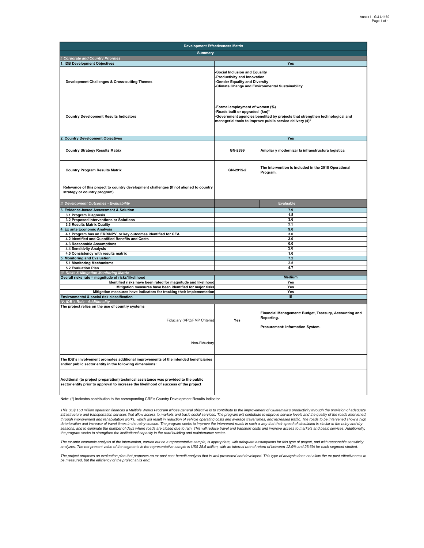| <b>Development Effectiveness Matrix</b>                                                                                                                                     |                                                                                                                                                                                                              |                                                                      |  |  |  |  |  |
|-----------------------------------------------------------------------------------------------------------------------------------------------------------------------------|--------------------------------------------------------------------------------------------------------------------------------------------------------------------------------------------------------------|----------------------------------------------------------------------|--|--|--|--|--|
| <b>Summary</b>                                                                                                                                                              |                                                                                                                                                                                                              |                                                                      |  |  |  |  |  |
| <b>Corporate and Country Priorities</b>                                                                                                                                     |                                                                                                                                                                                                              |                                                                      |  |  |  |  |  |
| 1. IDB Development Objectives                                                                                                                                               |                                                                                                                                                                                                              | Yes                                                                  |  |  |  |  |  |
| <b>Development Challenges &amp; Cross-cutting Themes</b>                                                                                                                    | Social Inclusion and Equality<br>-Productivity and Innovation<br>-Gender Equality and Diversity<br>-Climate Change and Environmental Sustainability                                                          |                                                                      |  |  |  |  |  |
| <b>Country Development Results Indicators</b>                                                                                                                               | Formal employment of women (%)<br>-Roads built or upgraded (km)*<br>-Government agencies benefited by projects that strengthen technological and<br>managerial tools to improve public service delivery (#)* |                                                                      |  |  |  |  |  |
| 2. Country Development Objectives                                                                                                                                           |                                                                                                                                                                                                              | Yes                                                                  |  |  |  |  |  |
| <b>Country Strategy Results Matrix</b>                                                                                                                                      | GN-2899                                                                                                                                                                                                      | Ampliar y modernizar la infraestructura logística                    |  |  |  |  |  |
| <b>Country Program Results Matrix</b>                                                                                                                                       | GN-2915-2                                                                                                                                                                                                    | The intervention is included in the 2018 Operational<br>Program.     |  |  |  |  |  |
| Relevance of this project to country development challenges (If not aligned to country<br>strategy or country program)                                                      |                                                                                                                                                                                                              |                                                                      |  |  |  |  |  |
| II. Development Outcomes - Evaluability                                                                                                                                     |                                                                                                                                                                                                              | Evaluable                                                            |  |  |  |  |  |
| 3. Evidence-based Assessment & Solution                                                                                                                                     |                                                                                                                                                                                                              | 7.9                                                                  |  |  |  |  |  |
| 3.1 Program Diagnosis                                                                                                                                                       |                                                                                                                                                                                                              | 1.8                                                                  |  |  |  |  |  |
| 3.2 Proposed Interventions or Solutions                                                                                                                                     |                                                                                                                                                                                                              | 3.6                                                                  |  |  |  |  |  |
| 3.3 Results Matrix Quality                                                                                                                                                  | 2.5                                                                                                                                                                                                          |                                                                      |  |  |  |  |  |
| 4. Ex ante Economic Analysis                                                                                                                                                | 9.0                                                                                                                                                                                                          |                                                                      |  |  |  |  |  |
| 4.1 Program has an ERR/NPV, or key outcomes identified for CEA                                                                                                              | 3.0                                                                                                                                                                                                          |                                                                      |  |  |  |  |  |
| 4.2 Identified and Quantified Benefits and Costs                                                                                                                            | 3.0                                                                                                                                                                                                          |                                                                      |  |  |  |  |  |
| 4.3 Reasonable Assumptions<br>4.4 Sensitivity Analysis                                                                                                                      | 0.0<br>2.0                                                                                                                                                                                                   |                                                                      |  |  |  |  |  |
| 4.5 Consistency with results matrix                                                                                                                                         |                                                                                                                                                                                                              | 1.0                                                                  |  |  |  |  |  |
| <b>Monitoring and Evaluation</b>                                                                                                                                            |                                                                                                                                                                                                              | 7.2                                                                  |  |  |  |  |  |
| 5.1 Monitoring Mechanisms                                                                                                                                                   |                                                                                                                                                                                                              | 2.5                                                                  |  |  |  |  |  |
| 5.2 Evaluation Plan                                                                                                                                                         |                                                                                                                                                                                                              | 4.7                                                                  |  |  |  |  |  |
| <b>Risks &amp; Mitigation Monitoring Matrix</b>                                                                                                                             |                                                                                                                                                                                                              |                                                                      |  |  |  |  |  |
| Overall risks rate = magnitude of risks*likelihood                                                                                                                          |                                                                                                                                                                                                              | <b>Medium</b>                                                        |  |  |  |  |  |
| Identified risks have been rated for magnitude and likelihood                                                                                                               | Yes                                                                                                                                                                                                          |                                                                      |  |  |  |  |  |
| Mitigation measures have been identified for major risks                                                                                                                    |                                                                                                                                                                                                              | Yes                                                                  |  |  |  |  |  |
| Mitigation measures have indicators for tracking their implementation<br>Environmental & social risk classification                                                         |                                                                                                                                                                                                              | Yes<br>в                                                             |  |  |  |  |  |
| IV. IDB's Role - Additionality                                                                                                                                              |                                                                                                                                                                                                              |                                                                      |  |  |  |  |  |
| The project relies on the use of country systems                                                                                                                            |                                                                                                                                                                                                              |                                                                      |  |  |  |  |  |
| Fiduciary (VPC/FMP Criteria)                                                                                                                                                | Yes                                                                                                                                                                                                          | Financial Management: Budget, Treasury, Accounting and<br>Reporting. |  |  |  |  |  |
|                                                                                                                                                                             |                                                                                                                                                                                                              | Procurement: Information System.                                     |  |  |  |  |  |
| Non-Fiduciary                                                                                                                                                               |                                                                                                                                                                                                              |                                                                      |  |  |  |  |  |
| The IDB's involvement promotes additional improvements of the intended beneficiaries<br>and/or public sector entity in the following dimensions:                            |                                                                                                                                                                                                              |                                                                      |  |  |  |  |  |
| Additional (to project preparation) technical assistance was provided to the public<br>sector entity prior to approval to increase the likelihood of success of the project |                                                                                                                                                                                                              |                                                                      |  |  |  |  |  |

Note: (\*) Indicates contribution to the corresponding CRF's Country Development Results Indicator.

This US\$ 150 million operation finances a Multiple Works Program whose general objective is to contribute to the improvement of Guatemala's productivity through the provision of adequate<br>infrastructure and transportation s seasons, and to eliminate the number of days where roads are closed due to rain. This will reduce travel and transport costs and improve access to markets and basic services. Additionally, *the program seeks to strengthen the institutional capacity in the road building and maintenance sector.*

The ex-ante economic analysis of the intervention, carried out on a representative sample, is appropriate, with adequate assumptions for this type of project, and with reasonable sensitivity<br>analyzes. The net present value

The project proposes an evaluation plan that proposes an ex-post cost-benefit analysis that is well presented and developed. This type of analysis does not allow the ex-post effectiveness to<br>be measured, but the efficiency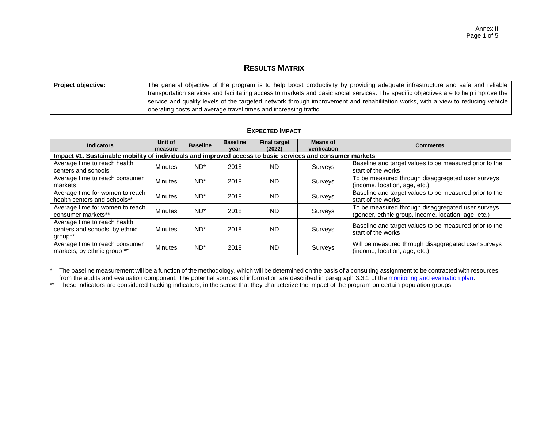# **RESULTS MATRIX**

| <b>Project objective:</b> | The general objective of the program is to help boost productivity by providing adequate infrastructure and safe and reliable         |
|---------------------------|---------------------------------------------------------------------------------------------------------------------------------------|
|                           | transportation services and facilitating access to markets and basic social services. The specific objectives are to help improve the |
|                           | service and quality levels of the targeted network through improvement and rehabilitation works, with a view to reducing vehicle      |
|                           | operating costs and average travel times and increasing traffic.                                                                      |

| <b>Indicators</b>                                                                                         | Unit of<br>measure | <b>Baseline</b> | <b>Baseline</b><br>vear | <b>Final target</b><br>(2022) | <b>Means of</b><br>verification | <b>Comments</b>                                                                                          |  |  |  |  |  |
|-----------------------------------------------------------------------------------------------------------|--------------------|-----------------|-------------------------|-------------------------------|---------------------------------|----------------------------------------------------------------------------------------------------------|--|--|--|--|--|
| Impact #1. Sustainable mobility of individuals and improved access to basic services and consumer markets |                    |                 |                         |                               |                                 |                                                                                                          |  |  |  |  |  |
| Average time to reach health<br>centers and schools                                                       | Minutes            | $ND^*$          | 2018                    | <b>ND</b>                     | Surveys                         | Baseline and target values to be measured prior to the<br>start of the works                             |  |  |  |  |  |
| Average time to reach consumer<br>markets                                                                 | <b>Minutes</b>     | $ND^*$          | 2018                    | <b>ND</b>                     | Surveys                         | To be measured through disaggregated user surveys<br>(income, location, age, etc.)                       |  |  |  |  |  |
| Average time for women to reach<br>health centers and schools**                                           | <b>Minutes</b>     | $ND^*$          | 2018                    | <b>ND</b>                     | Surveys                         | Baseline and target values to be measured prior to the<br>start of the works                             |  |  |  |  |  |
| Average time for women to reach<br>consumer markets**                                                     | Minutes            | $ND^*$          | 2018                    | <b>ND</b>                     | Surveys                         | To be measured through disaggregated user surveys<br>(gender, ethnic group, income, location, age, etc.) |  |  |  |  |  |
| Average time to reach health<br>centers and schools, by ethnic<br>group**                                 | <b>Minutes</b>     | $ND^*$          | 2018                    | <b>ND</b>                     | Surveys                         | Baseline and target values to be measured prior to the<br>start of the works                             |  |  |  |  |  |
| Average time to reach consumer<br>markets, by ethnic group **                                             | <b>Minutes</b>     | $ND^*$          | 2018                    | <b>ND</b>                     | Surveys                         | Will be measured through disaggregated user surveys<br>(income, location, age, etc.)                     |  |  |  |  |  |

\* The baseline measurement will be a function of the methodology, which will be determined on the basis of a consulting assignment to be contracted with resources from the audits and evaluation component. The potential sources of information are described in paragraph 3.3.1 of th[e monitoring and evaluation plan.](http://idbdocs.iadb.org/wsdocs/getDocument.aspx?DOCNUM=EZSHARE-1990667305-16)

\*\* These indicators are considered tracking indicators, in the sense that they characterize the impact of the program on certain population groups.

#### **EXPECTED IMPACT**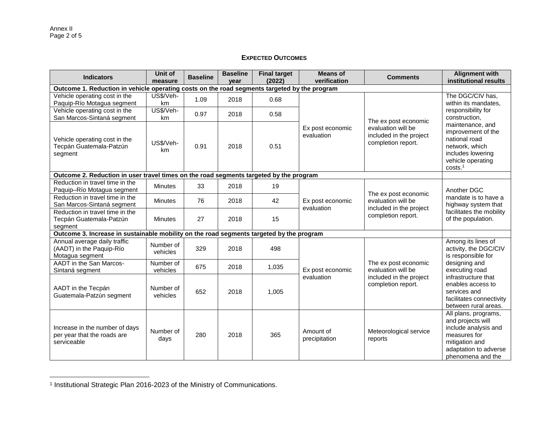#### **EXPECTED OUTCOMES**

| <b>Indicators</b>                                                                            | Unit of<br>measure    | <b>Baseline</b> | <b>Baseline</b><br>vear | <b>Final target</b><br>(2022) | <b>Means of</b><br>verification                                                                       | <b>Comments</b>                               | <b>Alignment with</b><br>institutional results                                                                                                    |
|----------------------------------------------------------------------------------------------|-----------------------|-----------------|-------------------------|-------------------------------|-------------------------------------------------------------------------------------------------------|-----------------------------------------------|---------------------------------------------------------------------------------------------------------------------------------------------------|
| Outcome 1. Reduction in vehicle operating costs on the road segments targeted by the program |                       |                 |                         |                               |                                                                                                       |                                               |                                                                                                                                                   |
| Vehicle operating cost in the<br>Paquip-Río Motagua segment                                  | US\$/Veh-<br>km       | 1.09            | 2018                    | 0.68                          |                                                                                                       |                                               | The DGC/CIV has,<br>within its mandates,                                                                                                          |
| Vehicle operating cost in the<br>San Marcos-Sintaná segment                                  | US\$/Veh-<br>km       | 0.97            | 2018                    | 0.58                          |                                                                                                       | The ex post economic                          | responsibility for<br>construction.                                                                                                               |
| Vehicle operating cost in the<br>Tecpán Guatemala-Patzún<br>segment                          | US\$/Veh-<br>km       | 0.91            | 2018                    | 0.51                          | Ex post economic<br>evaluation will be<br>evaluation<br>included in the project<br>completion report. |                                               | maintenance, and<br>improvement of the<br>national road<br>network, which<br>includes lowering<br>vehicle operating<br>costs. <sup>1</sup>        |
| Outcome 2. Reduction in user travel times on the road segments targeted by the program       |                       |                 |                         |                               |                                                                                                       |                                               |                                                                                                                                                   |
| Reduction in travel time in the<br>Paquip-Río Motagua segment                                | <b>Minutes</b>        | 33              | 2018                    | 19                            |                                                                                                       | The ex post economic                          | Another DGC                                                                                                                                       |
| Reduction in travel time in the<br>San Marcos-Sintaná segment                                | <b>Minutes</b>        | 76              | 2018                    | 42                            | Ex post economic<br>evaluation                                                                        | evaluation will be<br>included in the project | mandate is to have a<br>highway system that                                                                                                       |
| Reduction in travel time in the<br>Tecpán Guatemala-Patzún<br>segment                        | <b>Minutes</b>        | 27              | 2018                    | 15                            |                                                                                                       | completion report.                            | facilitates the mobility<br>of the population.                                                                                                    |
| Outcome 3. Increase in sustainable mobility on the road segments targeted by the program     |                       |                 |                         |                               |                                                                                                       |                                               |                                                                                                                                                   |
| Annual average daily traffic<br>(AADT) in the Paquip-Río<br>Motagua segment                  | Number of<br>vehicles | 329             | 2018                    | 498                           |                                                                                                       |                                               | Among its lines of<br>activity, the DGC/CIV<br>is responsible for                                                                                 |
| AADT in the San Marcos-<br>Sintaná segment                                                   | Number of<br>vehicles | 675             | 2018                    | 1,035                         | Ex post economic                                                                                      | The ex post economic<br>evaluation will be    | designing and<br>executing road                                                                                                                   |
| AADT in the Tecpán<br>Guatemala-Patzún segment                                               | Number of<br>vehicles | 652             | 2018                    | 1,005                         | evaluation                                                                                            | included in the project<br>completion report. | infrastructure that<br>enables access to<br>services and<br>facilitates connectivity<br>between rural areas.                                      |
| Increase in the number of days<br>per year that the roads are<br>serviceable                 | Number of<br>days     | 280             | 2018                    | 365                           | Amount of<br>precipitation                                                                            | Meteorological service<br>reports             | All plans, programs,<br>and projects will<br>include analysis and<br>measures for<br>mitigation and<br>adaptation to adverse<br>phenomena and the |

 1 Institutional Strategic Plan 2016-2023 of the Ministry of Communications.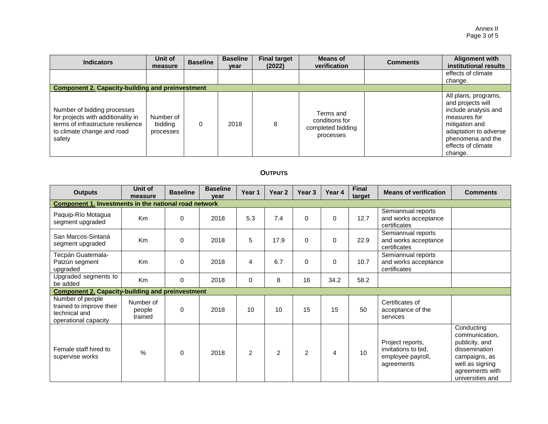| <b>Indicators</b>                                                                                                                               | Unit of<br>measure                | <b>Baseline</b> | <b>Baseline</b><br>year | <b>Final target</b><br>(2022) | Means of<br>verification                                      | <b>Comments</b> | <b>Alignment with</b><br>institutional results                                                                                                                                     |
|-------------------------------------------------------------------------------------------------------------------------------------------------|-----------------------------------|-----------------|-------------------------|-------------------------------|---------------------------------------------------------------|-----------------|------------------------------------------------------------------------------------------------------------------------------------------------------------------------------------|
|                                                                                                                                                 |                                   |                 |                         |                               |                                                               |                 | effects of climate<br>change.                                                                                                                                                      |
| <b>Component 2. Capacity-building and preinvestment</b>                                                                                         |                                   |                 |                         |                               |                                                               |                 |                                                                                                                                                                                    |
| Number of bidding processes<br>for projects with additionality in<br>terms of infrastructure resilience<br>to climate change and road<br>safety | Number of<br>bidding<br>processes | 0               | 2018                    | 8                             | Terms and<br>conditions for<br>completed bidding<br>processes |                 | All plans, programs,<br>and projects will<br>include analysis and<br>measures for<br>mitigation and<br>adaptation to adverse<br>phenomena and the<br>effects of climate<br>change. |

# **OUTPUTS**

| <b>Outputs</b>                                                                        | Unit of<br>measure             | <b>Baseline</b> | <b>Baseline</b><br>vear | Year 1         | Year <sub>2</sub> | Year <sub>3</sub> | Year 4   | <b>Final</b><br>target | <b>Means of verification</b>                                               | <b>Comments</b>                                                                                                                            |  |
|---------------------------------------------------------------------------------------|--------------------------------|-----------------|-------------------------|----------------|-------------------|-------------------|----------|------------------------|----------------------------------------------------------------------------|--------------------------------------------------------------------------------------------------------------------------------------------|--|
| <b>Component 1. Investments in the national road network</b>                          |                                |                 |                         |                |                   |                   |          |                        |                                                                            |                                                                                                                                            |  |
| Paquip-Río Motagua<br>segment upgraded                                                | K <sub>m</sub>                 | $\Omega$        | 2018                    | 5.3            | 7.4               | $\Omega$          | $\Omega$ | 12.7                   | Semiannual reports<br>and works acceptance<br>certificates                 |                                                                                                                                            |  |
| San Marcos-Sintaná<br>segment upgraded                                                | Km                             | 0               | 2018                    | 5              | 17.9              | $\mathbf 0$       | 0        | 22.9                   | Semiannual reports<br>and works acceptance<br>certificates                 |                                                                                                                                            |  |
| Tecpán Guatemala-<br>Patzún segment<br>upgraded                                       | Km                             | $\Omega$        | 2018                    | 4              | 6.7               | $\mathbf 0$       | $\Omega$ | 10.7                   | Semiannual reports<br>and works acceptance<br>certificates                 |                                                                                                                                            |  |
| Upgraded segments to<br>be added                                                      | Km                             | $\mathbf 0$     | 2018                    | $\pmb{0}$      | 8                 | 16                | 34.2     | 58.2                   |                                                                            |                                                                                                                                            |  |
| <b>Component 2. Capacity-building and preinvestment</b>                               |                                |                 |                         |                |                   |                   |          |                        |                                                                            |                                                                                                                                            |  |
| Number of people<br>trained to improve their<br>technical and<br>operational capacity | Number of<br>people<br>trained | $\mathbf 0$     | 2018                    | 10             | 10                | 15                | 15       | 50                     | Certificates of<br>acceptance of the<br>services                           |                                                                                                                                            |  |
| Female staff hired to<br>supervise works                                              | $\frac{0}{0}$                  | 0               | 2018                    | $\overline{2}$ | $\overline{2}$    | $\overline{c}$    | 4        | 10 <sup>1</sup>        | Project reports,<br>invitations to bid,<br>employee payroll,<br>agreements | Conducting<br>communication,<br>publicity, and<br>dissemination<br>campaigns, as<br>well as signing<br>agreements with<br>universities and |  |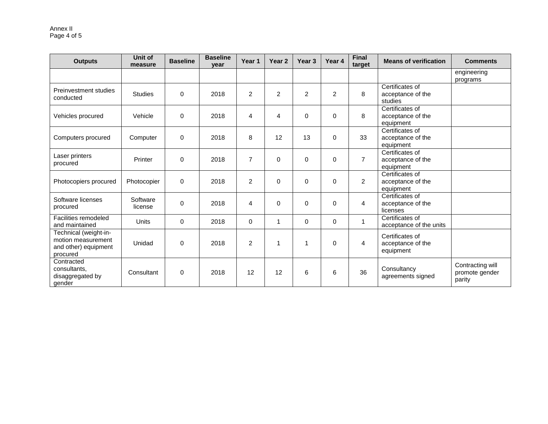| <b>Outputs</b>                                                                  | Unit of<br>measure  | <b>Baseline</b> | <b>Baseline</b><br>year | Year <sub>1</sub> | Year <sub>2</sub> | Year 3         | Year 4         | <b>Final</b><br>target | <b>Means of verification</b>                      | <b>Comments</b>                              |
|---------------------------------------------------------------------------------|---------------------|-----------------|-------------------------|-------------------|-------------------|----------------|----------------|------------------------|---------------------------------------------------|----------------------------------------------|
|                                                                                 |                     |                 |                         |                   |                   |                |                |                        |                                                   | engineering<br>programs                      |
| Preinvestment studies<br>conducted                                              | <b>Studies</b>      | 0               | 2018                    | 2                 | $\overline{2}$    | $\overline{2}$ | $\overline{2}$ | 8                      | Certificates of<br>acceptance of the<br>studies   |                                              |
| Vehicles procured                                                               | Vehicle             | $\mathbf 0$     | 2018                    | $\overline{4}$    | 4                 | $\Omega$       | $\mathbf 0$    | 8                      | Certificates of<br>acceptance of the<br>equipment |                                              |
| Computers procured                                                              | Computer            | 0               | 2018                    | 8                 | 12                | 13             | $\Omega$       | 33                     | Certificates of<br>acceptance of the<br>equipment |                                              |
| Laser printers<br>procured                                                      | Printer             | $\mathbf 0$     | 2018                    | $\overline{7}$    | 0                 | $\Omega$       | $\mathbf 0$    | $\overline{7}$         | Certificates of<br>acceptance of the<br>equipment |                                              |
| Photocopiers procured                                                           | Photocopier         | $\mathbf 0$     | 2018                    | 2                 | 0                 | $\Omega$       | $\Omega$       | $\overline{2}$         | Certificates of<br>acceptance of the<br>equipment |                                              |
| Software licenses<br>procured                                                   | Software<br>license | $\Omega$        | 2018                    | $\overline{4}$    | 0                 | $\Omega$       | $\Omega$       | $\overline{4}$         | Certificates of<br>acceptance of the<br>licenses  |                                              |
| Facilities remodeled<br>and maintained                                          | <b>Units</b>        | $\Omega$        | 2018                    | $\mathbf 0$       | 1                 | $\Omega$       | 0              | $\overline{1}$         | Certificates of<br>acceptance of the units        |                                              |
| Technical (weight-in-<br>motion measurement<br>and other) equipment<br>procured | Unidad              | $\Omega$        | 2018                    | 2                 | 1                 | $\mathbf{1}$   | $\Omega$       | $\overline{4}$         | Certificates of<br>acceptance of the<br>equipment |                                              |
| Contracted<br>consultants,<br>disaggregated by<br>gender                        | Consultant          | $\mathbf 0$     | 2018                    | 12                | 12                | 6              | 6              | 36                     | Consultancy<br>agreements signed                  | Contracting will<br>promote gender<br>parity |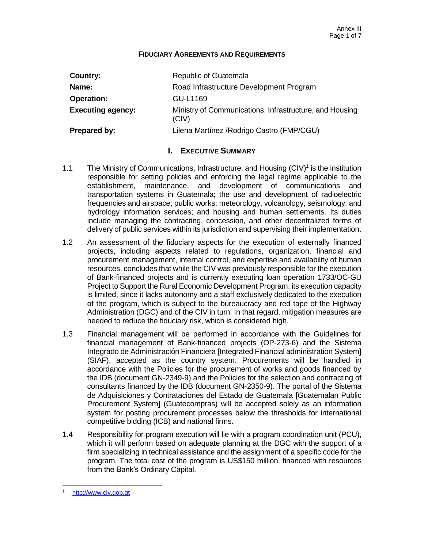#### **FIDUCIARY AGREEMENTS AND REQUIREMENTS**

| Country:                 | Republic of Guatemala                                            |
|--------------------------|------------------------------------------------------------------|
| Name:                    | Road Infrastructure Development Program                          |
| <b>Operation:</b>        | GU-L1169                                                         |
| <b>Executing agency:</b> | Ministry of Communications, Infrastructure, and Housing<br>(CIV) |
| Prepared by:             | Lilena Martínez / Rodrigo Castro (FMP/CGU)                       |

# **I. EXECUTIVE SUMMARY**

- 1.1 The Ministry of Communications, Infrastructure, and Housing (CIV)<sup>1</sup> is the institution responsible for setting policies and enforcing the legal regime applicable to the establishment, maintenance, and development of communications and transportation systems in Guatemala; the use and development of radioelectric frequencies and airspace; public works; meteorology, volcanology, seismology, and hydrology information services; and housing and human settlements. Its duties include managing the contracting, concession, and other decentralized forms of delivery of public services within its jurisdiction and supervising their implementation.
- 1.2 An assessment of the fiduciary aspects for the execution of externally financed projects, including aspects related to regulations, organization, financial and procurement management, internal control, and expertise and availability of human resources, concludes that while the CIV was previously responsible for the execution of Bank-financed projects and is currently executing loan operation 1733/OC-GU Project to Support the Rural Economic Development Program, its execution capacity is limited, since it lacks autonomy and a staff exclusively dedicated to the execution of the program, which is subject to the bureaucracy and red tape of the Highway Administration (DGC) and of the CIV in turn. In that regard, mitigation measures are needed to reduce the fiduciary risk, which is considered high.
- 1.3 Financial management will be performed in accordance with the Guidelines for financial management of Bank-financed projects (OP-273-6) and the Sistema Integrado de Administración Financiera [Integrated Financial administration System] (SIAF), accepted as the country system. Procurements will be handled in accordance with the Policies for the procurement of works and goods financed by the IDB (document GN-2349-9) and the Policies for the selection and contracting of consultants financed by the IDB (document GN-2350-9). The portal of the Sistema de Adquisiciones y Contrataciones del Estado de Guatemala [Guatemalan Public Procurement System] (Guatecompras) will be accepted solely as an information system for posting procurement processes below the thresholds for international competitive bidding (ICB) and national firms.
- 1.4 Responsibility for program execution will lie with a program coordination unit (PCU), which it will perform based on adequate planning at the DGC with the support of a firm specializing in technical assistance and the assignment of a specific code for the program. The total cost of the program is US\$150 million, financed with resources from the Bank's Ordinary Capital.

[http://www.civ.gob.gt](http://www.civ.gob.gt/)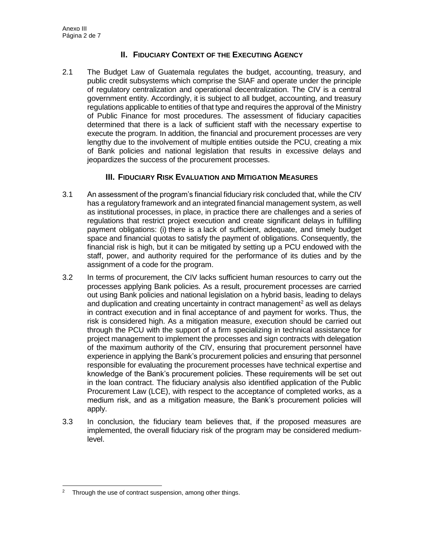# **II. FIDUCIARY CONTEXT OF THE EXECUTING AGENCY**

2.1 The Budget Law of Guatemala regulates the budget, accounting, treasury, and public credit subsystems which comprise the SIAF and operate under the principle of regulatory centralization and operational decentralization. The CIV is a central government entity. Accordingly, it is subject to all budget, accounting, and treasury regulations applicable to entities of that type and requires the approval of the Ministry of Public Finance for most procedures. The assessment of fiduciary capacities determined that there is a lack of sufficient staff with the necessary expertise to execute the program. In addition, the financial and procurement processes are very lengthy due to the involvement of multiple entities outside the PCU, creating a mix of Bank policies and national legislation that results in excessive delays and jeopardizes the success of the procurement processes.

# **III. FIDUCIARY RISK EVALUATION AND MITIGATION MEASURES**

- 3.1 An assessment of the program's financial fiduciary risk concluded that, while the CIV has a regulatory framework and an integrated financial management system, as well as institutional processes, in place, in practice there are challenges and a series of regulations that restrict project execution and create significant delays in fulfilling payment obligations: (i) there is a lack of sufficient, adequate, and timely budget space and financial quotas to satisfy the payment of obligations. Consequently, the financial risk is high, but it can be mitigated by setting up a PCU endowed with the staff, power, and authority required for the performance of its duties and by the assignment of a code for the program.
- 3.2 In terms of procurement, the CIV lacks sufficient human resources to carry out the processes applying Bank policies. As a result, procurement processes are carried out using Bank policies and national legislation on a hybrid basis, leading to delays and duplication and creating uncertainty in contract management<sup>2</sup> as well as delays in contract execution and in final acceptance of and payment for works. Thus, the risk is considered high. As a mitigation measure, execution should be carried out through the PCU with the support of a firm specializing in technical assistance for project management to implement the processes and sign contracts with delegation of the maximum authority of the CIV, ensuring that procurement personnel have experience in applying the Bank's procurement policies and ensuring that personnel responsible for evaluating the procurement processes have technical expertise and knowledge of the Bank's procurement policies. These requirements will be set out in the loan contract. The fiduciary analysis also identified application of the Public Procurement Law (LCE), with respect to the acceptance of completed works, as a medium risk, and as a mitigation measure, the Bank's procurement policies will apply.
- 3.3 In conclusion, the fiduciary team believes that, if the proposed measures are implemented, the overall fiduciary risk of the program may be considered mediumlevel.

 <sup>2</sup> Through the use of contract suspension, among other things.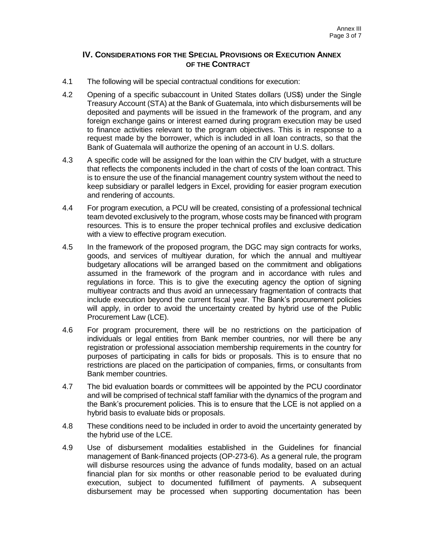### **IV. CONSIDERATIONS FOR THE SPECIAL PROVISIONS OR EXECUTION ANNEX OF THE CONTRACT**

- 4.1 The following will be special contractual conditions for execution:
- 4.2 Opening of a specific subaccount in United States dollars (US\$) under the Single Treasury Account (STA) at the Bank of Guatemala, into which disbursements will be deposited and payments will be issued in the framework of the program, and any foreign exchange gains or interest earned during program execution may be used to finance activities relevant to the program objectives. This is in response to a request made by the borrower, which is included in all loan contracts, so that the Bank of Guatemala will authorize the opening of an account in U.S. dollars.
- 4.3 A specific code will be assigned for the loan within the CIV budget, with a structure that reflects the components included in the chart of costs of the loan contract. This is to ensure the use of the financial management country system without the need to keep subsidiary or parallel ledgers in Excel, providing for easier program execution and rendering of accounts.
- 4.4 For program execution, a PCU will be created, consisting of a professional technical team devoted exclusively to the program, whose costs may be financed with program resources. This is to ensure the proper technical profiles and exclusive dedication with a view to effective program execution.
- 4.5 In the framework of the proposed program, the DGC may sign contracts for works, goods, and services of multiyear duration, for which the annual and multiyear budgetary allocations will be arranged based on the commitment and obligations assumed in the framework of the program and in accordance with rules and regulations in force. This is to give the executing agency the option of signing multiyear contracts and thus avoid an unnecessary fragmentation of contracts that include execution beyond the current fiscal year. The Bank's procurement policies will apply, in order to avoid the uncertainty created by hybrid use of the Public Procurement Law (LCE).
- 4.6 For program procurement, there will be no restrictions on the participation of individuals or legal entities from Bank member countries, nor will there be any registration or professional association membership requirements in the country for purposes of participating in calls for bids or proposals. This is to ensure that no restrictions are placed on the participation of companies, firms, or consultants from Bank member countries.
- 4.7 The bid evaluation boards or committees will be appointed by the PCU coordinator and will be comprised of technical staff familiar with the dynamics of the program and the Bank's procurement policies. This is to ensure that the LCE is not applied on a hybrid basis to evaluate bids or proposals.
- 4.8 These conditions need to be included in order to avoid the uncertainty generated by the hybrid use of the LCE.
- 4.9 Use of disbursement modalities established in the Guidelines for financial management of Bank-financed projects (OP-273-6). As a general rule, the program will disburse resources using the advance of funds modality, based on an actual financial plan for six months or other reasonable period to be evaluated during execution, subject to documented fulfillment of payments. A subsequent disbursement may be processed when supporting documentation has been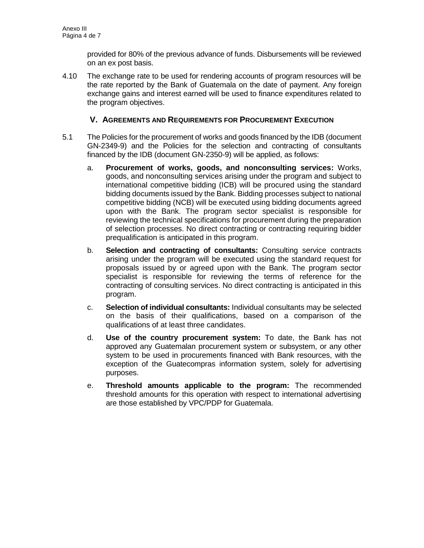provided for 80% of the previous advance of funds. Disbursements will be reviewed on an ex post basis.

4.10 The exchange rate to be used for rendering accounts of program resources will be the rate reported by the Bank of Guatemala on the date of payment. Any foreign exchange gains and interest earned will be used to finance expenditures related to the program objectives.

# **V. AGREEMENTS AND REQUIREMENTS FOR PROCUREMENT EXECUTION**

- 5.1 The Policies for the procurement of works and goods financed by the IDB (document GN-2349-9) and the Policies for the selection and contracting of consultants financed by the IDB (document GN-2350-9) will be applied, as follows:
	- a. **Procurement of works, goods, and nonconsulting services:** Works, goods, and nonconsulting services arising under the program and subject to international competitive bidding (ICB) will be procured using the standard bidding documents issued by the Bank. Bidding processes subject to national competitive bidding (NCB) will be executed using bidding documents agreed upon with the Bank. The program sector specialist is responsible for reviewing the technical specifications for procurement during the preparation of selection processes. No direct contracting or contracting requiring bidder prequalification is anticipated in this program.
	- b. **Selection and contracting of consultants:** Consulting service contracts arising under the program will be executed using the standard request for proposals issued by or agreed upon with the Bank. The program sector specialist is responsible for reviewing the terms of reference for the contracting of consulting services. No direct contracting is anticipated in this program.
	- c. **Selection of individual consultants:** Individual consultants may be selected on the basis of their qualifications, based on a comparison of the qualifications of at least three candidates.
	- d. **Use of the country procurement system:** To date, the Bank has not approved any Guatemalan procurement system or subsystem, or any other system to be used in procurements financed with Bank resources, with the exception of the Guatecompras information system, solely for advertising purposes.
	- e. **Threshold amounts applicable to the program:** The recommended threshold amounts for this operation with respect to international advertising are those established by VPC/PDP for Guatemala.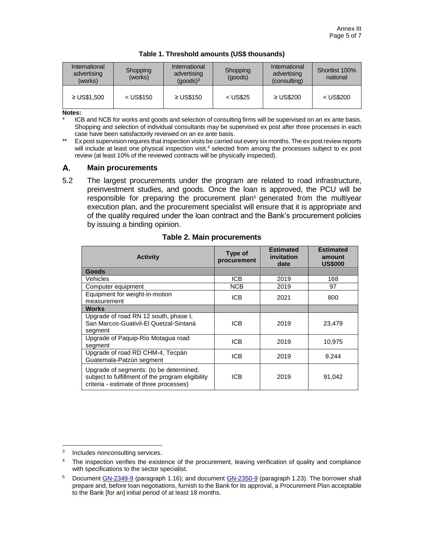| International<br>advertising<br>(works) | Shopping<br>(works) | International<br>advertising<br>(goods) <sup>3</sup> | Shopping<br>(goods) | International<br>advertising<br>(consulting) | Shortlist 100%<br>national |
|-----------------------------------------|---------------------|------------------------------------------------------|---------------------|----------------------------------------------|----------------------------|
| $\geq$ US\$1.500                        | $<$ US\$150         | $\geq$ US\$150                                       | $<$ US\$25          | $\geq$ US\$200                               | $<$ US\$200                |

| Table 1. Threshold amounts (US\$ thousands) |  |
|---------------------------------------------|--|
|---------------------------------------------|--|

**Notes:** 

ICB and NCB for works and goods and selection of consulting firms will be supervised on an ex ante basis. Shopping and selection of individual consultants may be supervised ex post after three processes in each case have been satisfactorily reviewed on an ex ante basis.

Ex post supervision requires that inspection visits be carried out every six months. The ex post review reports will include at least one physical inspection visit,<sup>4</sup> selected from among the processes subject to ex post review (at least 10% of the reviewed contracts will be physically inspected).

#### А. **Main procurements**

5.2 The largest procurements under the program are related to road infrastructure, preinvestment studies, and goods. Once the loan is approved, the PCU will be responsible for preparing the procurement plan<sup>5</sup> generated from the multiyear execution plan, and the procurement specialist will ensure that it is appropriate and of the quality required under the loan contract and the Bank's procurement policies by issuing a binding opinion.

| <b>Activity</b>                                                                                                                         | Type of<br>procurement | <b>Estimated</b><br>invitation<br>date | <b>Estimated</b><br>amount<br><b>US\$000</b> |
|-----------------------------------------------------------------------------------------------------------------------------------------|------------------------|----------------------------------------|----------------------------------------------|
| Goods                                                                                                                                   |                        |                                        |                                              |
| Vehicles                                                                                                                                | ICB                    | 2019                                   | 168                                          |
| Computer equipment                                                                                                                      | <b>NCB</b>             | 2019                                   | 97                                           |
| Equipment for weight-in-motion<br>measurement                                                                                           | <b>ICB</b>             | 2021                                   | 800                                          |
| Works                                                                                                                                   |                        |                                        |                                              |
| Upgrade of road RN 12 south, phase I,<br>San Marcos-Guativil-El Quetzal-Sintaná<br>segment                                              | ICB                    | 2019                                   | 23.479                                       |
| Upgrade of Paquip-Río Motagua road<br>segment                                                                                           | <b>ICB</b>             | 2019                                   | 10,975                                       |
| Upgrade of road RD CHM-4, Tecpán<br>Guatemala-Patzún segment                                                                            | <b>ICB</b>             | 2019                                   | 9.244                                        |
| Upgrade of segments: (to be determined,<br>subject to fulfillment of the program eligibility<br>criteria - estimate of three processes) | ICB                    | 2019                                   | 91,042                                       |

#### **Table 2. Main procurements**

<sup>3</sup> Includes nonconsulting services.

<sup>&</sup>lt;sup>4</sup> The inspection verifies the existence of the procurement, leaving verification of quality and compliance with specifications to the sector specialist.

<sup>&</sup>lt;sup>5</sup> Document [GN-2349-9](http://idbdocs.iadb.org/wsdocs/getDocument.aspx?DOCNUM=774396) (paragraph 1.16); and document [GN-2350-9](http://idbdocs.iadb.org/wsdocs/getDocument.aspx?DOCNUM=774399) (paragraph 1.23). The borrower shall prepare and, before loan negotiations, furnish to the Bank for its approval, a Procurement Plan acceptable to the Bank [for an] initial period of at least 18 months.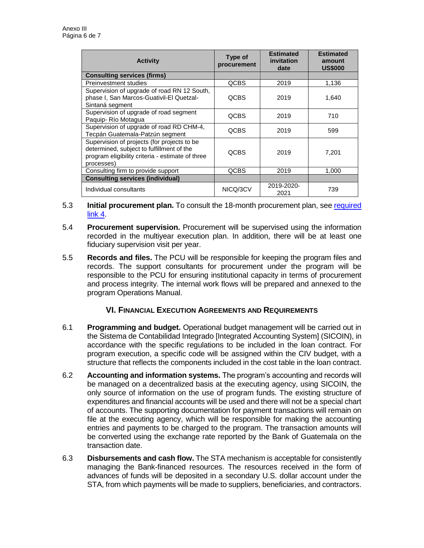| <b>Activity</b>                                                                                                                                            | Type of<br>procurement | <b>Estimated</b><br>invitation<br>date | <b>Estimated</b><br>amount<br><b>US\$000</b> |
|------------------------------------------------------------------------------------------------------------------------------------------------------------|------------------------|----------------------------------------|----------------------------------------------|
| <b>Consulting services (firms)</b>                                                                                                                         |                        |                                        |                                              |
| Preinvestment studies                                                                                                                                      | <b>QCBS</b>            | 2019                                   | 1,136                                        |
| Supervision of upgrade of road RN 12 South,<br>phase I, San Marcos-Guativil-El Quetzal-<br>Sintaná segment                                                 | <b>QCBS</b>            | 2019                                   | 1,640                                        |
| Supervision of upgrade of road segment<br>Paquip-Río Motagua                                                                                               | <b>QCBS</b>            | 2019                                   | 710                                          |
| Supervision of upgrade of road RD CHM-4,<br>Tecpán Guatemala-Patzún segment                                                                                | <b>QCBS</b>            | 2019                                   | 599                                          |
| Supervision of projects (for projects to be<br>determined, subject to fulfillment of the<br>program eligibility criteria - estimate of three<br>processes) | <b>QCBS</b>            | 2019                                   | 7,201                                        |
| Consulting firm to provide support                                                                                                                         | QCBS                   | 2019                                   | 1,000                                        |
| <b>Consulting services (individual)</b>                                                                                                                    |                        |                                        |                                              |
| Individual consultants                                                                                                                                     | NICQ/3CV               | 2019-2020-<br>2021                     | 739                                          |

- 5.3 **Initial procurement plan.** To consult the 18-month procurement plan, see [required](http://idbdocs.iadb.org/wsdocs/getDocument.aspx?DOCNUM=EZSHARE-1990667305-18)  [link 4.](http://idbdocs.iadb.org/wsdocs/getDocument.aspx?DOCNUM=EZSHARE-1990667305-18)
- 5.4 **Procurement supervision.** Procurement will be supervised using the information recorded in the multiyear execution plan. In addition, there will be at least one fiduciary supervision visit per year.
- 5.5 **Records and files.** The PCU will be responsible for keeping the program files and records. The support consultants for procurement under the program will be responsible to the PCU for ensuring institutional capacity in terms of procurement and process integrity. The internal work flows will be prepared and annexed to the program Operations Manual.

# **VI. FINANCIAL EXECUTION AGREEMENTS AND REQUIREMENTS**

- 6.1 **Programming and budget.** Operational budget management will be carried out in the Sistema de Contabilidad Integrado [Integrated Accounting System] (SICOIN), in accordance with the specific regulations to be included in the loan contract. For program execution, a specific code will be assigned within the CIV budget, with a structure that reflects the components included in the cost table in the loan contract.
- 6.2 **Accounting and information systems.** The program's accounting and records will be managed on a decentralized basis at the executing agency, using SICOIN, the only source of information on the use of program funds. The existing structure of expenditures and financial accounts will be used and there will not be a special chart of accounts. The supporting documentation for payment transactions will remain on file at the executing agency, which will be responsible for making the accounting entries and payments to be charged to the program. The transaction amounts will be converted using the exchange rate reported by the Bank of Guatemala on the transaction date.
- 6.3 **Disbursements and cash flow.** The STA mechanism is acceptable for consistently managing the Bank-financed resources. The resources received in the form of advances of funds will be deposited in a secondary U.S. dollar account under the STA, from which payments will be made to suppliers, beneficiaries, and contractors.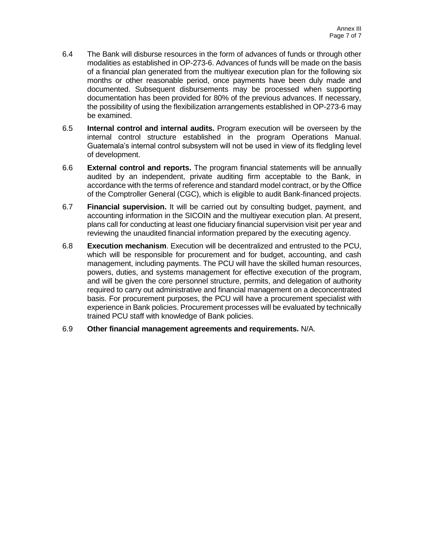- 6.4 The Bank will disburse resources in the form of advances of funds or through other modalities as established in OP-273-6. Advances of funds will be made on the basis of a financial plan generated from the multiyear execution plan for the following six months or other reasonable period, once payments have been duly made and documented. Subsequent disbursements may be processed when supporting documentation has been provided for 80% of the previous advances. If necessary, the possibility of using the flexibilization arrangements established in OP-273-6 may be examined.
- 6.5 **Internal control and internal audits.** Program execution will be overseen by the internal control structure established in the program Operations Manual. Guatemala's internal control subsystem will not be used in view of its fledgling level of development.
- 6.6 **External control and reports.** The program financial statements will be annually audited by an independent, private auditing firm acceptable to the Bank, in accordance with the terms of reference and standard model contract, or by the Office of the Comptroller General (CGC), which is eligible to audit Bank-financed projects.
- 6.7 **Financial supervision.** It will be carried out by consulting budget, payment, and accounting information in the SICOIN and the multiyear execution plan. At present, plans call for conducting at least one fiduciary financial supervision visit per year and reviewing the unaudited financial information prepared by the executing agency.
- 6.8 **Execution mechanism**. Execution will be decentralized and entrusted to the PCU, which will be responsible for procurement and for budget, accounting, and cash management, including payments. The PCU will have the skilled human resources, powers, duties, and systems management for effective execution of the program, and will be given the core personnel structure, permits, and delegation of authority required to carry out administrative and financial management on a deconcentrated basis. For procurement purposes, the PCU will have a procurement specialist with experience in Bank policies. Procurement processes will be evaluated by technically trained PCU staff with knowledge of Bank policies.
- 6.9 **Other financial management agreements and requirements.** N/A.